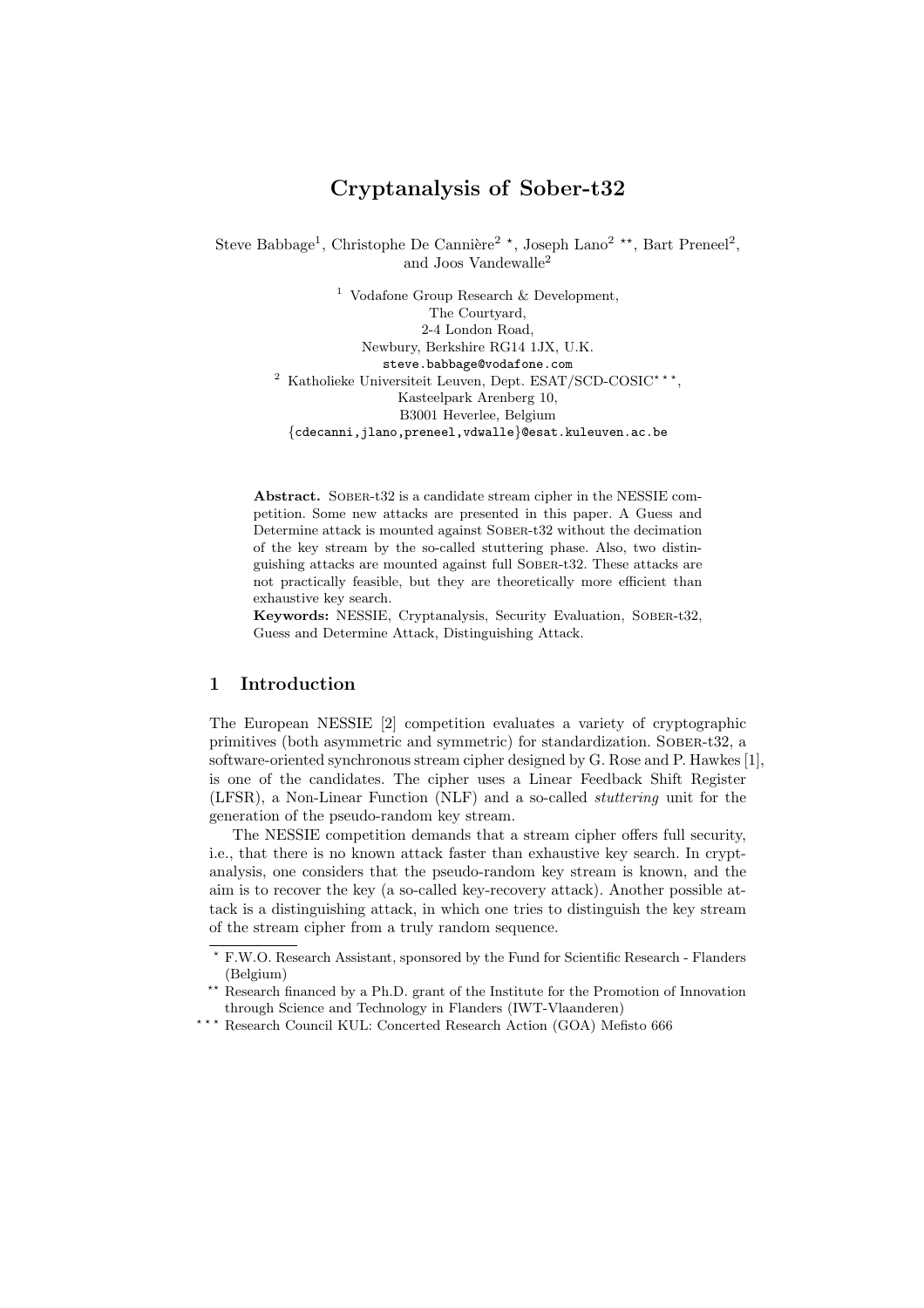# Cryptanalysis of Sober-t32

Steve Babbage<sup>1</sup>, Christophe De Cannière<sup>2</sup><sup>\*</sup>, Joseph Lano<sup>2</sup><sup>\*\*</sup>, Bart Preneel<sup>2</sup>, and Joos Vandewalle<sup>2</sup>

> <sup>1</sup> Vodafone Group Research  $\&$  Development, The Courtyard, 2-4 London Road, Newbury, Berkshire RG14 1JX, U.K. steve.babbage@vodafone.com <sup>2</sup> Katholieke Universiteit Leuven, Dept. ESAT/SCD-COSIC<sup>\*\*\*</sup>, Kasteelpark Arenberg 10, B3001 Heverlee, Belgium {cdecanni,jlano,preneel,vdwalle}@esat.kuleuven.ac.be

Abstract. SOBER-t32 is a candidate stream cipher in the NESSIE competition. Some new attacks are presented in this paper. A Guess and Determine attack is mounted against SOBER-t32 without the decimation of the key stream by the so-called stuttering phase. Also, two distinguishing attacks are mounted against full Sober-t32. These attacks are not practically feasible, but they are theoretically more efficient than exhaustive key search.

Keywords: NESSIE, Cryptanalysis, Security Evaluation, Sober-t32, Guess and Determine Attack, Distinguishing Attack.

### 1 Introduction

The European NESSIE [2] competition evaluates a variety of cryptographic primitives (both asymmetric and symmetric) for standardization. Sober-t32, a software-oriented synchronous stream cipher designed by G. Rose and P. Hawkes [1], is one of the candidates. The cipher uses a Linear Feedback Shift Register (LFSR), a Non-Linear Function (NLF) and a so-called stuttering unit for the generation of the pseudo-random key stream.

The NESSIE competition demands that a stream cipher offers full security, i.e., that there is no known attack faster than exhaustive key search. In cryptanalysis, one considers that the pseudo-random key stream is known, and the aim is to recover the key (a so-called key-recovery attack). Another possible attack is a distinguishing attack, in which one tries to distinguish the key stream of the stream cipher from a truly random sequence.

<sup>?</sup> F.W.O. Research Assistant, sponsored by the Fund for Scientific Research - Flanders (Belgium)

<sup>\*\*</sup> Research financed by a Ph.D. grant of the Institute for the Promotion of Innovation through Science and Technology in Flanders (IWT-Vlaanderen)

<sup>\*\*\*</sup> Research Council KUL: Concerted Research Action (GOA) Mefisto 666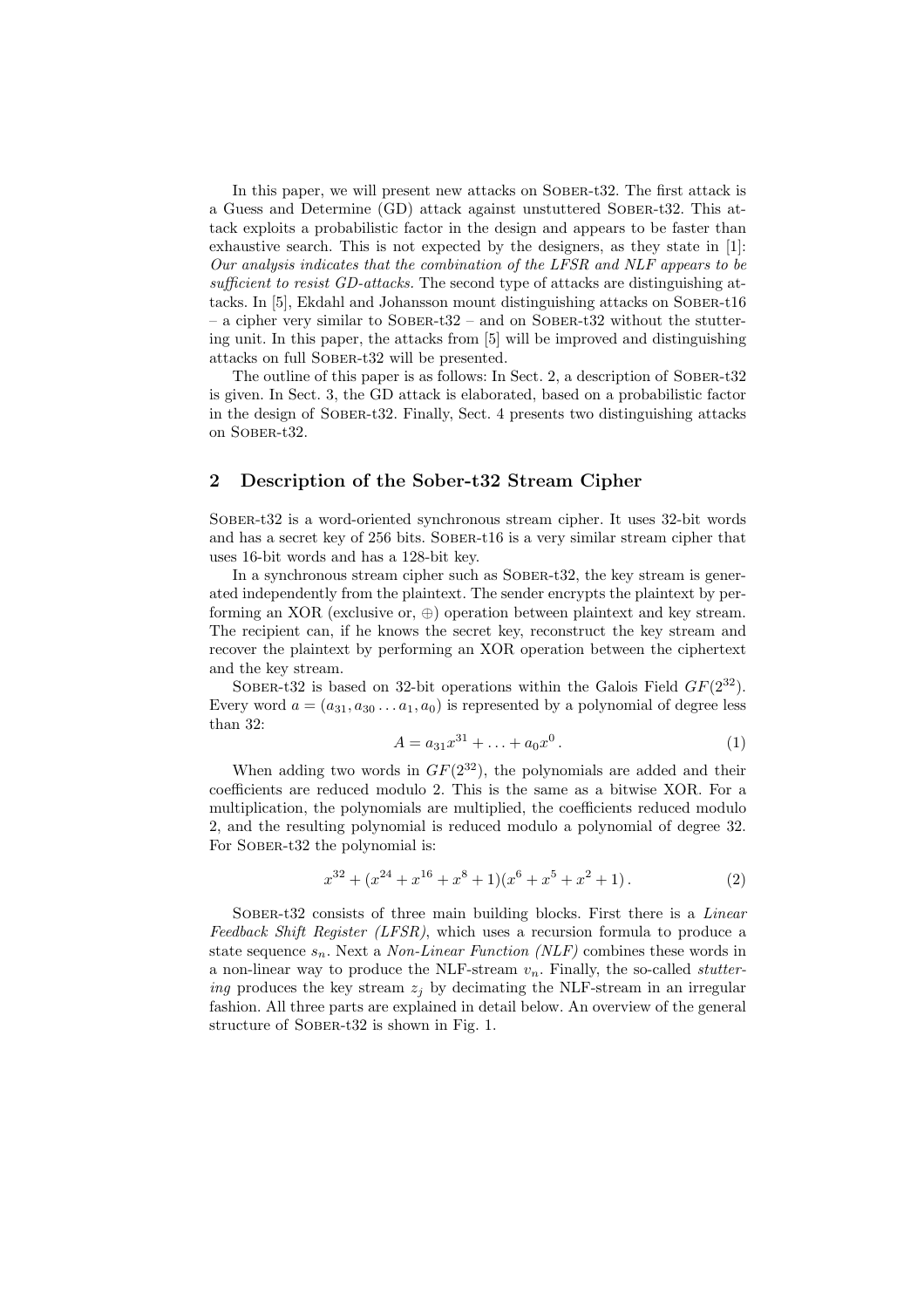In this paper, we will present new attacks on Sober-t32. The first attack is a Guess and Determine (GD) attack against unstuttered Sober-t32. This attack exploits a probabilistic factor in the design and appears to be faster than exhaustive search. This is not expected by the designers, as they state in [1]: Our analysis indicates that the combination of the LFSR and NLF appears to be sufficient to resist GD-attacks. The second type of attacks are distinguishing attacks. In [5], Ekdahl and Johansson mount distinguishing attacks on Sober-t16  $-$  a cipher very similar to SOBER-t32 – and on SOBER-t32 without the stuttering unit. In this paper, the attacks from [5] will be improved and distinguishing attacks on full Sober-t32 will be presented.

The outline of this paper is as follows: In Sect. 2, a description of SOBER-t32 is given. In Sect. 3, the GD attack is elaborated, based on a probabilistic factor in the design of Sober-t32. Finally, Sect. 4 presents two distinguishing attacks on Sober-t32.

### 2 Description of the Sober-t32 Stream Cipher

Sober-t32 is a word-oriented synchronous stream cipher. It uses 32-bit words and has a secret key of 256 bits. Sober-t16 is a very similar stream cipher that uses 16-bit words and has a 128-bit key.

In a synchronous stream cipher such as Sober-t32, the key stream is generated independently from the plaintext. The sender encrypts the plaintext by performing an XOR (exclusive or,  $\oplus$ ) operation between plaintext and key stream. The recipient can, if he knows the secret key, reconstruct the key stream and recover the plaintext by performing an XOR operation between the ciphertext and the key stream.

SOBER-t32 is based on 32-bit operations within the Galois Field  $GF(2^{32})$ . Every word  $a = (a_{31}, a_{30}, \ldots, a_1, a_0)$  is represented by a polynomial of degree less than 32:

$$
A = a_{31}x^{31} + \ldots + a_0x^0. \tag{1}
$$

When adding two words in  $GF(2^{32})$ , the polynomials are added and their coefficients are reduced modulo 2. This is the same as a bitwise XOR. For a multiplication, the polynomials are multiplied, the coefficients reduced modulo 2, and the resulting polynomial is reduced modulo a polynomial of degree 32. For SOBER-t32 the polynomial is:

$$
x^{32} + (x^{24} + x^{16} + x^8 + 1)(x^6 + x^5 + x^2 + 1).
$$
 (2)

SOBER-t32 consists of three main building blocks. First there is a *Linear* Feedback Shift Register (LFSR), which uses a recursion formula to produce a state sequence  $s_n$ . Next a *Non-Linear Function (NLF)* combines these words in a non-linear way to produce the NLF-stream  $v_n$ . Finally, the so-called *stutter*ing produces the key stream  $z_i$  by decimating the NLF-stream in an irregular fashion. All three parts are explained in detail below. An overview of the general structure of SOBER-t32 is shown in Fig. 1.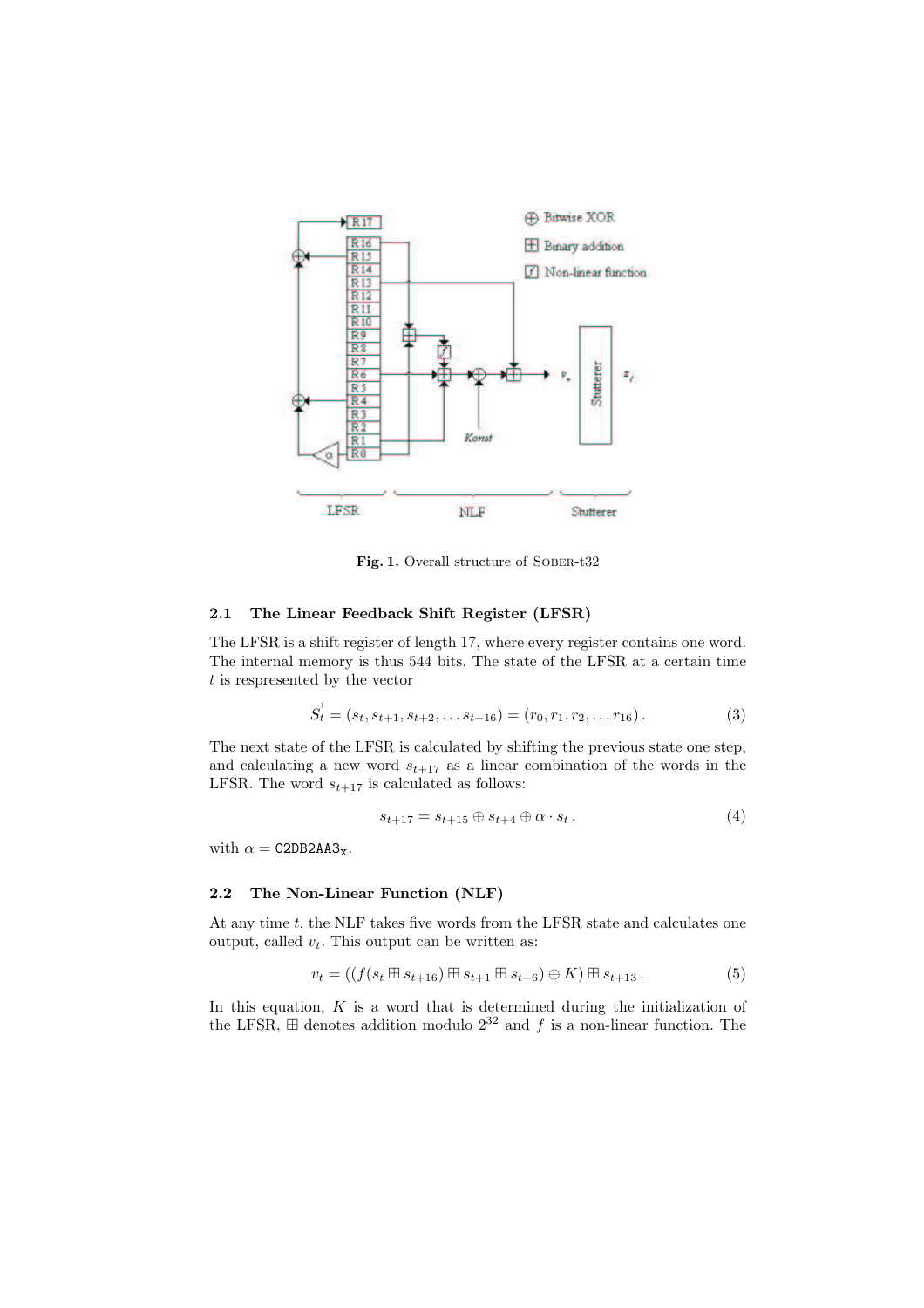

Fig. 1. Overall structure of SOBER-t32

### 2.1 The Linear Feedback Shift Register (LFSR)

The LFSR is a shift register of length 17, where every register contains one word. The internal memory is thus 544 bits. The state of the LFSR at a certain time t is respresented by the vector

$$
\overrightarrow{S}_t = (s_t, s_{t+1}, s_{t+2}, \dots s_{t+16}) = (r_0, r_1, r_2, \dots r_{16}).
$$
\n(3)

The next state of the LFSR is calculated by shifting the previous state one step, and calculating a new word  $s_{t+17}$  as a linear combination of the words in the LFSR. The word  $s_{t+17}$  is calculated as follows:

$$
s_{t+17} = s_{t+15} \oplus s_{t+4} \oplus \alpha \cdot s_t , \qquad (4)
$$

with  $\alpha = \texttt{C2DB2AA3}_x$ .

#### 2.2 The Non-Linear Function (NLF)

At any time t, the NLF takes five words from the LFSR state and calculates one output, called  $v_t$ . This output can be written as:

$$
v_t = ((f(s_t \boxplus s_{t+16}) \boxplus s_{t+1} \boxplus s_{t+6}) \oplus K) \boxplus s_{t+13}.
$$
 (5)

In this equation,  $K$  is a word that is determined during the initialization of the LFSR,  $\boxplus$  denotes addition modulo  $2^{32}$  and f is a non-linear function. The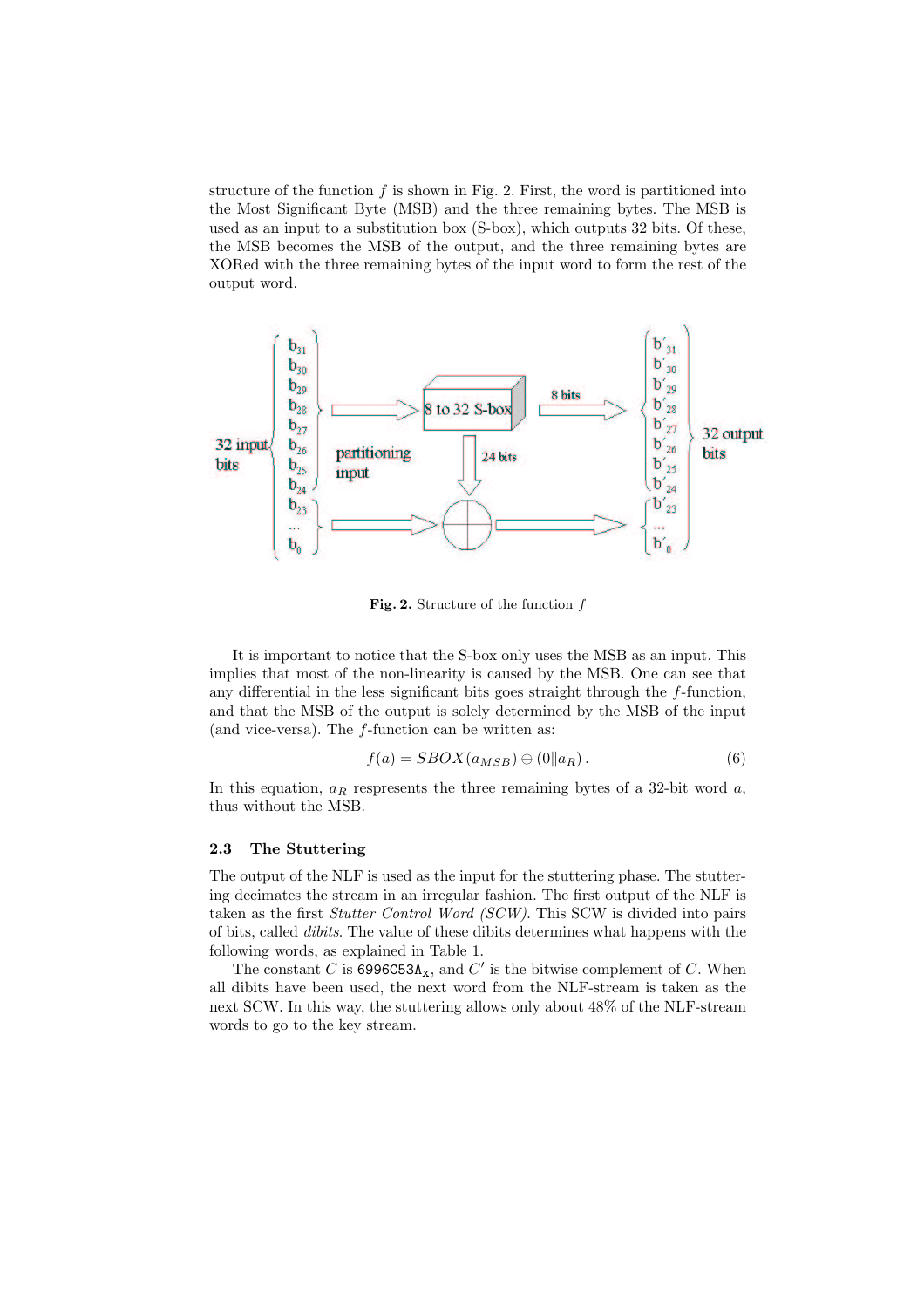structure of the function  $f$  is shown in Fig. 2. First, the word is partitioned into the Most Significant Byte (MSB) and the three remaining bytes. The MSB is used as an input to a substitution box (S-box), which outputs 32 bits. Of these, the MSB becomes the MSB of the output, and the three remaining bytes are XORed with the three remaining bytes of the input word to form the rest of the output word.



Fig. 2. Structure of the function  $f$ 

It is important to notice that the S-box only uses the MSB as an input. This implies that most of the non-linearity is caused by the MSB. One can see that any differential in the less significant bits goes straight through the f-function, and that the MSB of the output is solely determined by the MSB of the input (and vice-versa). The f-function can be written as:

$$
f(a) = SBOX(a_{MSB}) \oplus (0||a_R). \tag{6}
$$

In this equation,  $a_R$  respresents the three remaining bytes of a 32-bit word  $a$ , thus without the MSB.

#### 2.3 The Stuttering

The output of the NLF is used as the input for the stuttering phase. The stuttering decimates the stream in an irregular fashion. The first output of the NLF is taken as the first Stutter Control Word (SCW). This SCW is divided into pairs of bits, called dibits. The value of these dibits determines what happens with the following words, as explained in Table 1.

The constant C is  $6996C53A_{\mathbf{x}}$ , and C' is the bitwise complement of C. When all dibits have been used, the next word from the NLF-stream is taken as the next SCW. In this way, the stuttering allows only about 48% of the NLF-stream words to go to the key stream.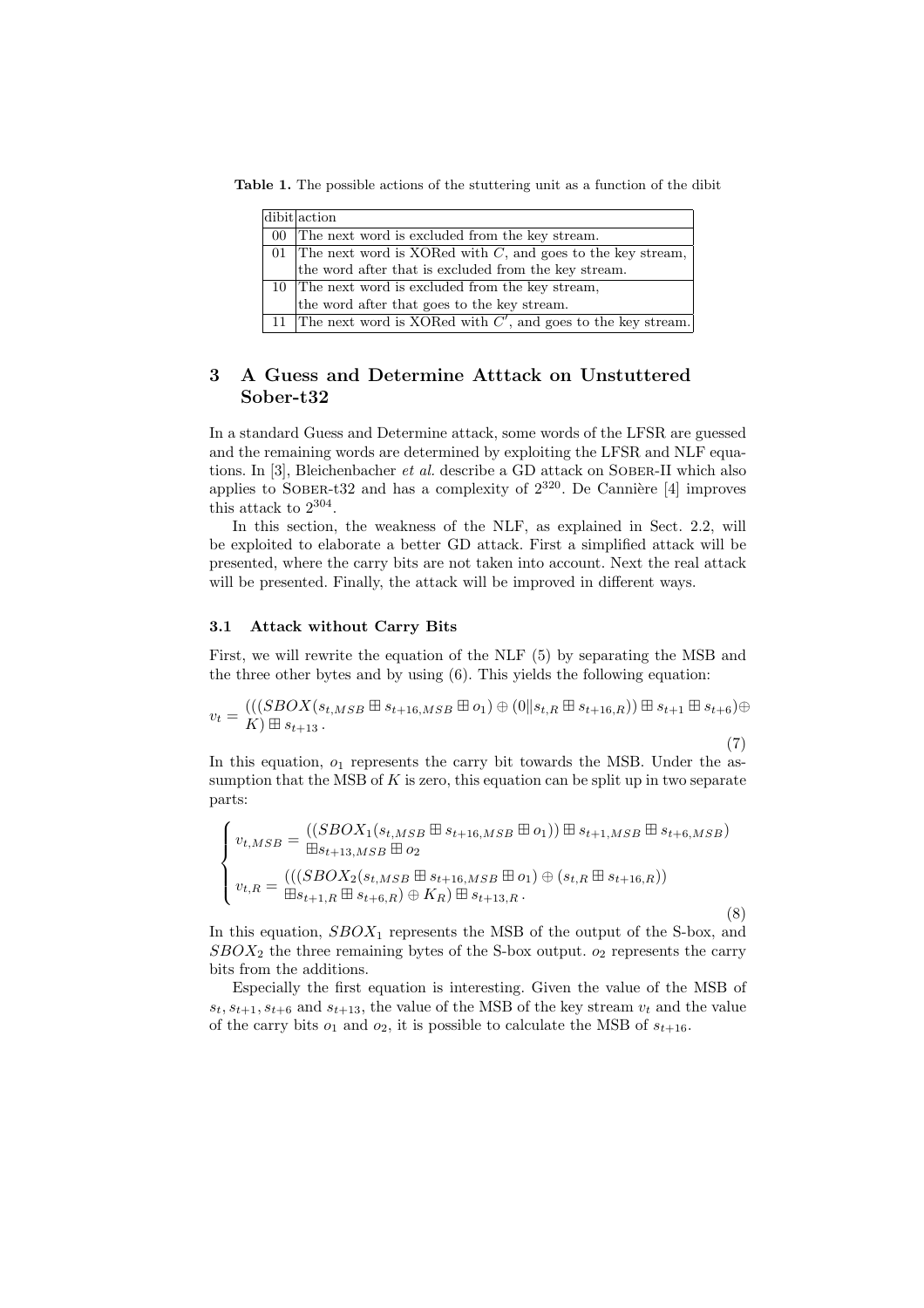Table 1. The possible actions of the stuttering unit as a function of the dibit

| dibit action                                                      |
|-------------------------------------------------------------------|
| 00 The next word is excluded from the key stream.                 |
| 01 The next word is XORed with $C$ , and goes to the key stream,  |
| the word after that is excluded from the key stream.              |
| 10 The next word is excluded from the key stream,                 |
| the word after that goes to the key stream.                       |
| 11 The next word is XORed with $C'$ , and goes to the key stream. |

# 3 A Guess and Determine Atttack on Unstuttered Sober-t32

In a standard Guess and Determine attack, some words of the LFSR are guessed and the remaining words are determined by exploiting the LFSR and NLF equations. In [3], Bleichenbacher *et al.* describe a GD attack on SOBER-II which also applies to SOBER-t32 and has a complexity of  $2^{320}$ . De Cannière [4] improves this attack to  $2^{304}$ .

In this section, the weakness of the NLF, as explained in Sect. 2.2, will be exploited to elaborate a better GD attack. First a simplified attack will be presented, where the carry bits are not taken into account. Next the real attack will be presented. Finally, the attack will be improved in different ways.

#### 3.1 Attack without Carry Bits

First, we will rewrite the equation of the NLF (5) by separating the MSB and the three other bytes and by using (6). This yields the following equation:

$$
v_t = \frac{(((SBOX(s_{t,MSB} \boxplus s_{t+16,MSB} \boxplus o_1) \oplus (0 \| s_{t,R} \boxplus s_{t+16,R})) \boxplus s_{t+1} \boxplus s_{t+6}) \oplus (0 \| s_{t,R} \boxplus s_{t+16,R})
$$

(7)

In this equation,  $o_1$  represents the carry bit towards the MSB. Under the assumption that the MSB of  $K$  is zero, this equation can be split up in two separate parts:

$$
\begin{cases}\nv_{t,MSB} = \frac{((SBOX_1(s_{t,MSB} \boxplus s_{t+16,MSB} \boxplus o_1)) \boxplus s_{t+1,MSB} \boxplus s_{t+6,MSB})}{\boxplus s_{t+13,MSB} \boxplus o_2} \\
v_{t,R} = \frac{(((SBOX_2(s_{t,MSB} \boxplus s_{t+16,MSB} \boxplus o_1) \oplus (s_{t,R} \boxplus s_{t+16,R}))}{\boxplus s_{t+1,R} \boxplus s_{t+6,R}) \oplus K_R) \boxplus s_{t+13,R} .\n\end{cases} (8)
$$

In this equation,  $SBOX_1$  represents the MSB of the output of the S-box, and  $SBOX<sub>2</sub>$  the three remaining bytes of the S-box output.  $o<sub>2</sub>$  represents the carry bits from the additions.

Especially the first equation is interesting. Given the value of the MSB of  $s_t$ ,  $s_{t+1}$ ,  $s_{t+6}$  and  $s_{t+13}$ , the value of the MSB of the key stream  $v_t$  and the value of the carry bits  $o_1$  and  $o_2$ , it is possible to calculate the MSB of  $s_{t+16}$ .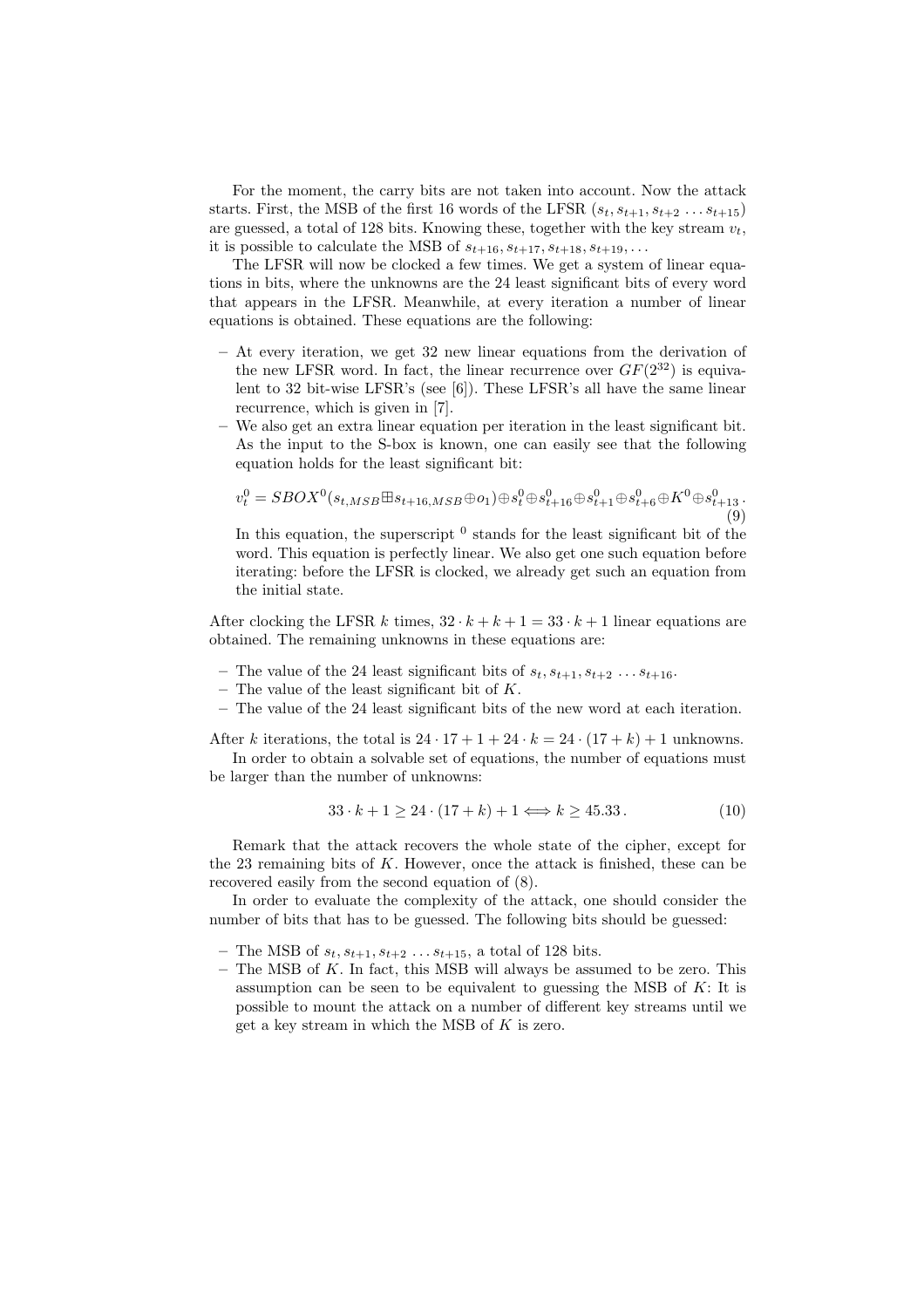For the moment, the carry bits are not taken into account. Now the attack starts. First, the MSB of the first 16 words of the LFSR  $(s_t, s_{t+1}, s_{t+2} \ldots s_{t+15})$ are guessed, a total of 128 bits. Knowing these, together with the key stream  $v_t$ , it is possible to calculate the MSB of  $s_{t+16}, s_{t+17}, s_{t+18}, s_{t+19}, \ldots$ 

The LFSR will now be clocked a few times. We get a system of linear equations in bits, where the unknowns are the 24 least significant bits of every word that appears in the LFSR. Meanwhile, at every iteration a number of linear equations is obtained. These equations are the following:

- $-$  At every iteration, we get 32 new linear equations from the derivation of the new LFSR word. In fact, the linear recurrence over  $GF(2^{32})$  is equivalent to 32 bit-wise LFSR's (see [6]). These LFSR's all have the same linear recurrence, which is given in [7].
- We also get an extra linear equation per iteration in the least significant bit. As the input to the S-box is known, one can easily see that the following equation holds for the least significant bit:

$$
v_t^0 = SBOX^0(s_{t,MSB} \boxplus s_{t+16,MSB} \oplus o_1) \oplus s_t^0 \oplus s_{t+16}^0 \oplus s_{t+1}^0 \oplus s_{t+6}^0 \oplus K^0 \oplus s_{t+13}^0
$$
\n(9)

In this equation, the superscript  $\delta$  stands for the least significant bit of the word. This equation is perfectly linear. We also get one such equation before iterating: before the LFSR is clocked, we already get such an equation from the initial state.

After clocking the LFSR k times,  $32 \cdot k + k + 1 = 33 \cdot k + 1$  linear equations are obtained. The remaining unknowns in these equations are:

- The value of the 24 least significant bits of  $s_t, s_{t+1}, s_{t+2} \ldots s_{t+16}$ .
- The value of the least significant bit of  $K$ .
- The value of the 24 least significant bits of the new word at each iteration.

After k iterations, the total is  $24 \cdot 17 + 1 + 24 \cdot k = 24 \cdot (17 + k) + 1$  unknowns.

In order to obtain a solvable set of equations, the number of equations must be larger than the number of unknowns:

$$
33 \cdot k + 1 \ge 24 \cdot (17 + k) + 1 \Longleftrightarrow k \ge 45.33. \tag{10}
$$

Remark that the attack recovers the whole state of the cipher, except for the  $23$  remaining bits of  $K$ . However, once the attack is finished, these can be recovered easily from the second equation of (8).

In order to evaluate the complexity of the attack, one should consider the number of bits that has to be guessed. The following bits should be guessed:

- The MSB of  $s_t, s_{t+1}, s_{t+2} \ldots s_{t+15}$ , a total of 128 bits.
- $-$  The MSB of  $K$ . In fact, this MSB will always be assumed to be zero. This assumption can be seen to be equivalent to guessing the MSB of  $K$ : It is possible to mount the attack on a number of different key streams until we get a key stream in which the MSB of  $K$  is zero.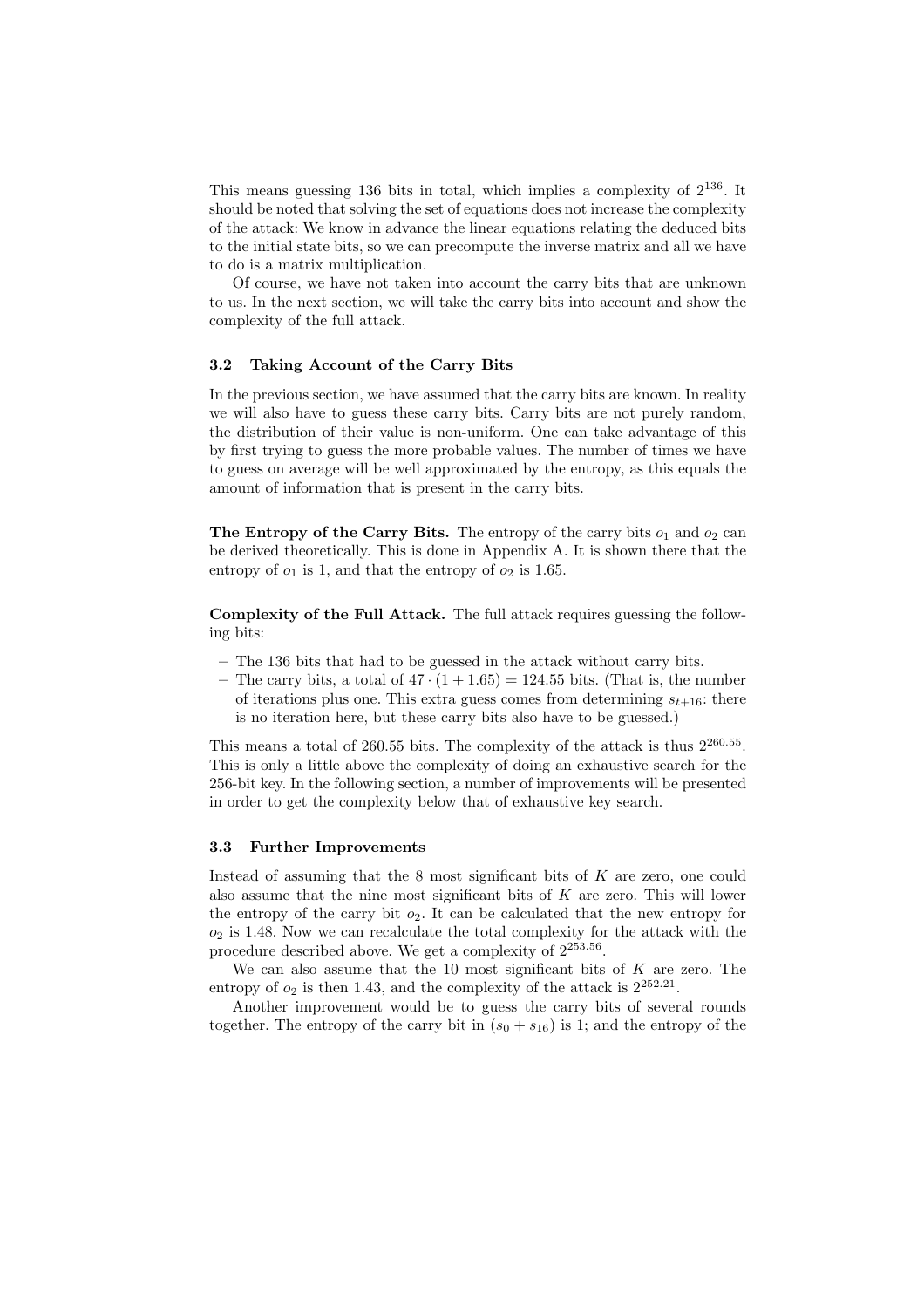This means guessing 136 bits in total, which implies a complexity of  $2^{136}$ . It should be noted that solving the set of equations does not increase the complexity of the attack: We know in advance the linear equations relating the deduced bits to the initial state bits, so we can precompute the inverse matrix and all we have to do is a matrix multiplication.

Of course, we have not taken into account the carry bits that are unknown to us. In the next section, we will take the carry bits into account and show the complexity of the full attack.

#### 3.2 Taking Account of the Carry Bits

In the previous section, we have assumed that the carry bits are known. In reality we will also have to guess these carry bits. Carry bits are not purely random, the distribution of their value is non-uniform. One can take advantage of this by first trying to guess the more probable values. The number of times we have to guess on average will be well approximated by the entropy, as this equals the amount of information that is present in the carry bits.

The Entropy of the Carry Bits. The entropy of the carry bits  $o_1$  and  $o_2$  can be derived theoretically. This is done in Appendix A. It is shown there that the entropy of  $o_1$  is 1, and that the entropy of  $o_2$  is 1.65.

Complexity of the Full Attack. The full attack requires guessing the following bits:

- The 136 bits that had to be guessed in the attack without carry bits.
- The carry bits, a total of  $47 \cdot (1 + 1.65) = 124.55$  bits. (That is, the number of iterations plus one. This extra guess comes from determining  $s_{t+16}$ : there is no iteration here, but these carry bits also have to be guessed.)

This means a total of 260.55 bits. The complexity of the attack is thus  $2^{260.55}$ . This is only a little above the complexity of doing an exhaustive search for the 256-bit key. In the following section, a number of improvements will be presented in order to get the complexity below that of exhaustive key search.

#### 3.3 Further Improvements

Instead of assuming that the 8 most significant bits of K are zero, one could also assume that the nine most significant bits of  $K$  are zero. This will lower the entropy of the carry bit  $o_2$ . It can be calculated that the new entropy for  $o_2$  is 1.48. Now we can recalculate the total complexity for the attack with the procedure described above. We get a complexity of  $2^{253.56}$ .

We can also assume that the 10 most significant bits of  $K$  are zero. The entropy of  $o_2$  is then 1.43, and the complexity of the attack is  $2^{252.21}$ .

Another improvement would be to guess the carry bits of several rounds together. The entropy of the carry bit in  $(s_0 + s_{16})$  is 1; and the entropy of the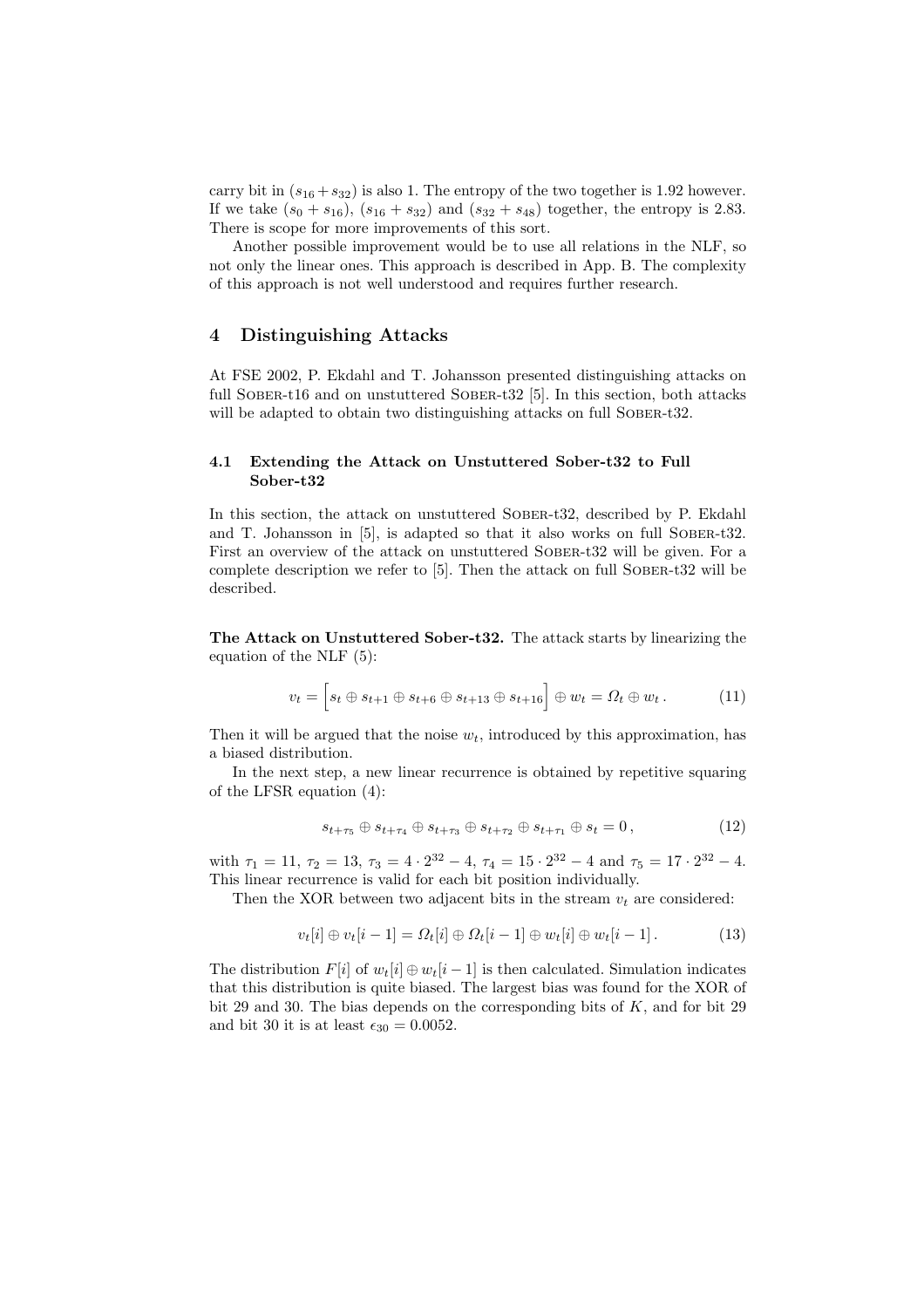carry bit in  $(s_{16} + s_{32})$  is also 1. The entropy of the two together is 1.92 however. If we take  $(s_0 + s_{16})$ ,  $(s_{16} + s_{32})$  and  $(s_{32} + s_{48})$  together, the entropy is 2.83. There is scope for more improvements of this sort.

Another possible improvement would be to use all relations in the NLF, so not only the linear ones. This approach is described in App. B. The complexity of this approach is not well understood and requires further research.

### 4 Distinguishing Attacks

At FSE 2002, P. Ekdahl and T. Johansson presented distinguishing attacks on full SOBER-t16 and on unstuttered SOBER-t32 [5]. In this section, both attacks will be adapted to obtain two distinguishing attacks on full SOBER-t32.

#### 4.1 Extending the Attack on Unstuttered Sober-t32 to Full Sober-t32

In this section, the attack on unstuttered Sober-t32, described by P. Ekdahl and T. Johansson in [5], is adapted so that it also works on full Sober-t32. First an overview of the attack on unstuttered SOBER-t32 will be given. For a complete description we refer to [5]. Then the attack on full Sober-t32 will be described.

The Attack on Unstuttered Sober-t32. The attack starts by linearizing the equation of the NLF (5):

$$
v_t = \left[ s_t \oplus s_{t+1} \oplus s_{t+6} \oplus s_{t+13} \oplus s_{t+16} \right] \oplus w_t = \Omega_t \oplus w_t. \tag{11}
$$

Then it will be argued that the noise  $w_t$ , introduced by this approximation, has a biased distribution.

In the next step, a new linear recurrence is obtained by repetitive squaring of the LFSR equation (4):

$$
s_{t+\tau_5} \oplus s_{t+\tau_4} \oplus s_{t+\tau_3} \oplus s_{t+\tau_2} \oplus s_{t+\tau_1} \oplus s_t = 0, \qquad (12)
$$

with  $\tau_1 = 11$ ,  $\tau_2 = 13$ ,  $\tau_3 = 4 \cdot 2^{32} - 4$ ,  $\tau_4 = 15 \cdot 2^{32} - 4$  and  $\tau_5 = 17 \cdot 2^{32} - 4$ . This linear recurrence is valid for each bit position individually.

Then the XOR between two adjacent bits in the stream  $v_t$  are considered:

$$
v_t[i] \oplus v_t[i-1] = \Omega_t[i] \oplus \Omega_t[i-1] \oplus w_t[i] \oplus w_t[i-1]. \tag{13}
$$

The distribution  $F[i]$  of  $w_t[i] \oplus w_t[i-1]$  is then calculated. Simulation indicates that this distribution is quite biased. The largest bias was found for the XOR of bit 29 and 30. The bias depends on the corresponding bits of  $K$ , and for bit 29 and bit 30 it is at least  $\epsilon_{30} = 0.0052$ .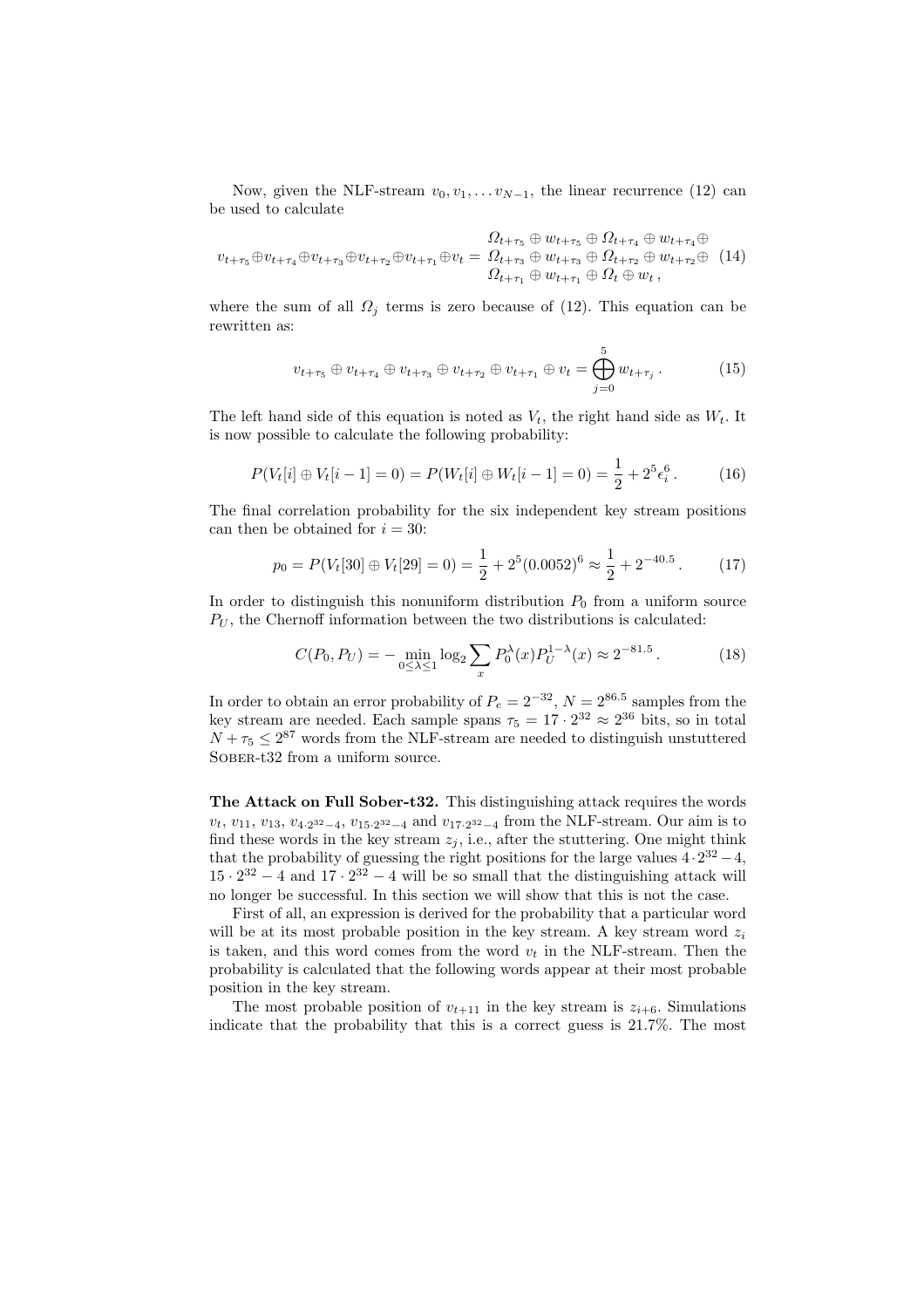Now, given the NLF-stream  $v_0, v_1, \ldots v_{N-1}$ , the linear recurrence (12) can be used to calculate

$$
v_{t+\tau_5} \oplus v_{t+\tau_4} \oplus v_{t+\tau_3} \oplus v_{t+\tau_2} \oplus v_{t+\tau_1} \oplus v_t = \Omega_{t+\tau_3} \oplus w_{t+\tau_3} \oplus \Omega_{t+\tau_2} \oplus w_{t+\tau_2} \oplus w_{t+\tau_2} \oplus (14)
$$
  

$$
\Omega_{t+\tau_1} \oplus w_{t+\tau_1} \oplus \Omega_t \oplus w_t,
$$

where the sum of all  $\Omega_i$  terms is zero because of (12). This equation can be rewritten as:

$$
v_{t+\tau_5} \oplus v_{t+\tau_4} \oplus v_{t+\tau_3} \oplus v_{t+\tau_2} \oplus v_{t+\tau_1} \oplus v_t = \bigoplus_{j=0}^5 w_{t+\tau_j}.
$$
 (15)

The left hand side of this equation is noted as  $V_t$ , the right hand side as  $W_t$ . It is now possible to calculate the following probability:

$$
P(V_t[i] \oplus V_t[i-1] = 0) = P(W_t[i] \oplus W_t[i-1] = 0) = \frac{1}{2} + 2^5 \epsilon_i^6.
$$
 (16)

The final correlation probability for the six independent key stream positions can then be obtained for  $i = 30$ :

$$
p_0 = P(V_t[30] \oplus V_t[29] = 0) = \frac{1}{2} + 2^5(0.0052)^6 \approx \frac{1}{2} + 2^{-40.5}.
$$
 (17)

In order to distinguish this nonuniform distribution  $P_0$  from a uniform source  $P_U$ , the Chernoff information between the two distributions is calculated:

$$
C(P_0, P_U) = -\min_{0 \le \lambda \le 1} \log_2 \sum_x P_0^{\lambda}(x) P_U^{1-\lambda}(x) \approx 2^{-81.5}.
$$
 (18)

In order to obtain an error probability of  $P_e = 2^{-32}$ ,  $N = 2^{86.5}$  samples from the key stream are needed. Each sample spans  $\tau_5 = 17 \cdot 2^{32} \approx 2^{36}$  bits, so in total  $N + \tau_5 \leq 2^{87}$  words from the NLF-stream are needed to distinguish unstuttered SOBER-t32 from a uniform source.

The Attack on Full Sober-t32. This distinguishing attack requires the words  $v_t$ ,  $v_{11}$ ,  $v_{13}$ ,  $v_{4\cdot2^{32}-4}$ ,  $v_{15\cdot2^{32}-4}$  and  $v_{17\cdot2^{32}-4}$  from the NLF-stream. Our aim is to find these words in the key stream  $z_i$ , i.e., after the stuttering. One might think that the probability of guessing the right positions for the large values  $4 \cdot 2^{32} - 4$ ,  $15 \cdot 2^{32} - 4$  and  $17 \cdot 2^{32} - 4$  will be so small that the distinguishing attack will no longer be successful. In this section we will show that this is not the case.

First of all, an expression is derived for the probability that a particular word will be at its most probable position in the key stream. A key stream word  $z_i$ is taken, and this word comes from the word  $v_t$  in the NLF-stream. Then the probability is calculated that the following words appear at their most probable position in the key stream.

The most probable position of  $v_{t+11}$  in the key stream is  $z_{i+6}$ . Simulations indicate that the probability that this is a correct guess is 21.7%. The most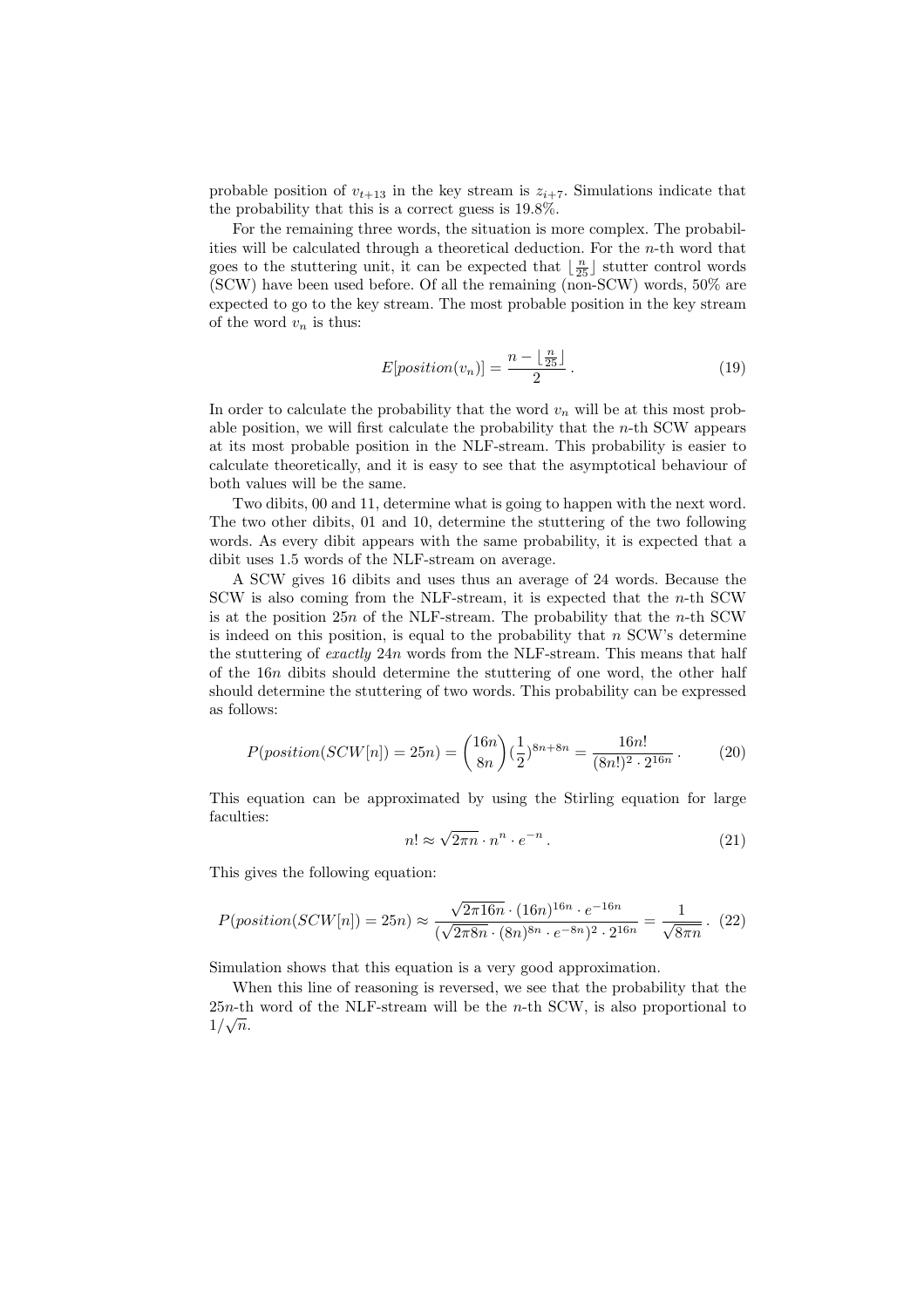probable position of  $v_{t+13}$  in the key stream is  $z_{i+7}$ . Simulations indicate that the probability that this is a correct guess is 19.8%.

For the remaining three words, the situation is more complex. The probabilities will be calculated through a theoretical deduction. For the  $n$ -th word that goes to the stuttering unit, it can be expected that  $\lfloor \frac{n}{25} \rfloor$  stutter control words (SCW) have been used before. Of all the remaining (non-SCW) words, 50% are expected to go to the key stream. The most probable position in the key stream of the word  $v_n$  is thus:

$$
E[position(v_n)] = \frac{n - \lfloor \frac{n}{25} \rfloor}{2}.
$$
 (19)

In order to calculate the probability that the word  $v_n$  will be at this most probable position, we will first calculate the probability that the  $n$ -th SCW appears at its most probable position in the NLF-stream. This probability is easier to calculate theoretically, and it is easy to see that the asymptotical behaviour of both values will be the same.

Two dibits, 00 and 11, determine what is going to happen with the next word. The two other dibits, 01 and 10, determine the stuttering of the two following words. As every dibit appears with the same probability, it is expected that a dibit uses 1.5 words of the NLF-stream on average.

A SCW gives 16 dibits and uses thus an average of 24 words. Because the SCW is also coming from the NLF-stream, it is expected that the n-th SCW is at the position  $25n$  of the NLF-stream. The probability that the *n*-th SCW is indeed on this position, is equal to the probability that  $n$  SCW's determine the stuttering of exactly 24n words from the NLF-stream. This means that half of the 16n dibits should determine the stuttering of one word, the other half should determine the stuttering of two words. This probability can be expressed as follows:

$$
P(position(SCW[n]) = 25n) = {16n \choose 8n} (\frac{1}{2})^{8n+8n} = \frac{16n!}{(8n!)^2 \cdot 2^{16n}}.
$$
 (20)

This equation can be approximated by using the Stirling equation for large faculties: √

$$
n! \approx \sqrt{2\pi n} \cdot n^n \cdot e^{-n} \,. \tag{21}
$$

This gives the following equation:

$$
P(position(SCW[n]) = 25n) \approx \frac{\sqrt{2\pi 16n} \cdot (16n)^{16n} \cdot e^{-16n}}{(\sqrt{2\pi 8n} \cdot (8n)^{8n} \cdot e^{-8n})^2 \cdot 2^{16n}} = \frac{1}{\sqrt{8\pi n}}. (22)
$$

Simulation shows that this equation is a very good approximation.

When this line of reasoning is reversed, we see that the probability that the  $25n$ -th word of the NLF-stream will be the *n*-th SCW, is also proportional to  $1/\sqrt{n}$ .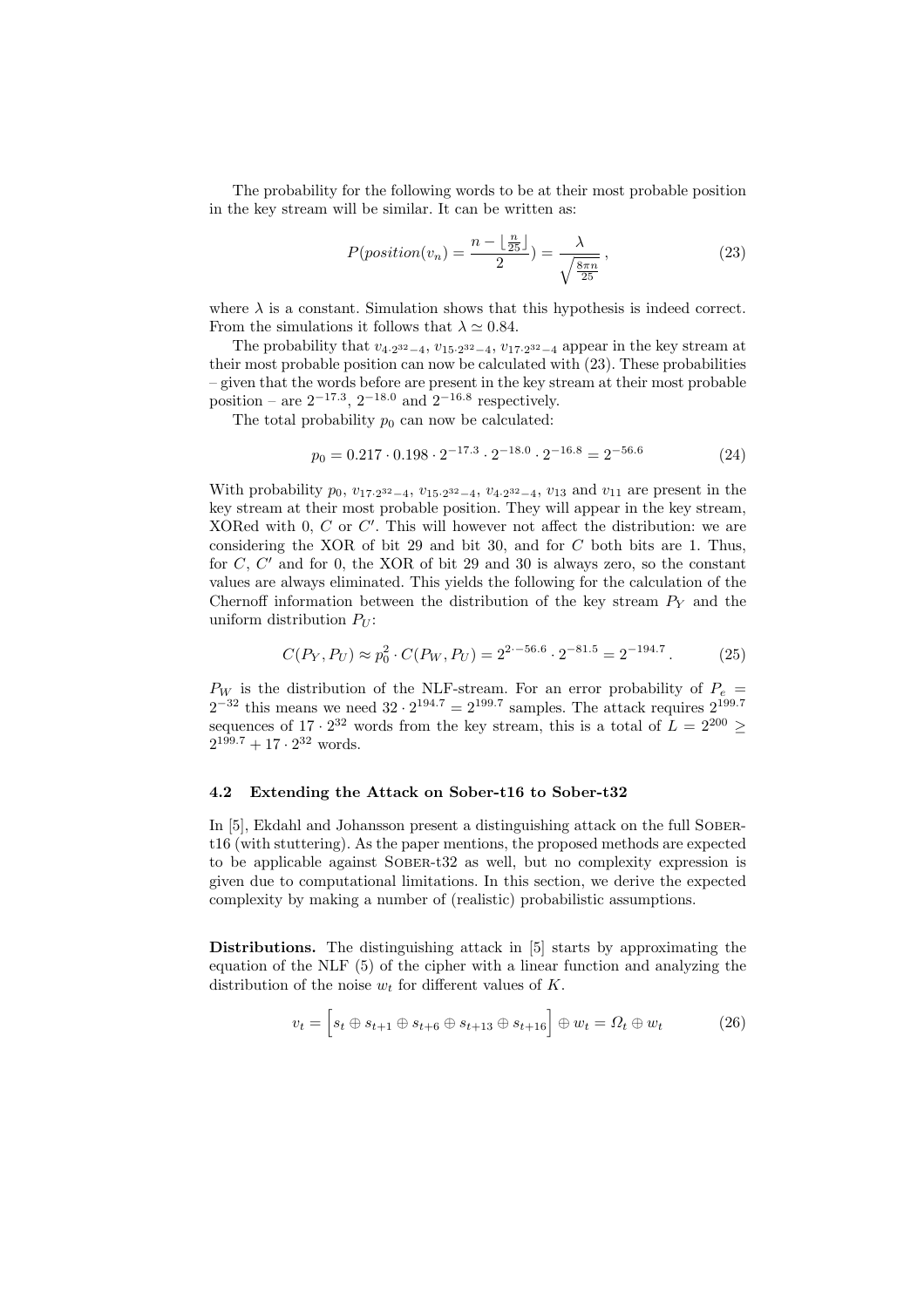The probability for the following words to be at their most probable position in the key stream will be similar. It can be written as:

$$
P(position(v_n) = \frac{n - \lfloor \frac{n}{25} \rfloor}{2}) = \frac{\lambda}{\sqrt{\frac{8\pi n}{25}}},
$$
\n(23)

where  $\lambda$  is a constant. Simulation shows that this hypothesis is indeed correct. From the simulations it follows that  $\lambda \simeq 0.84$ .

The probability that  $v_{4\cdot2^{32}-4}$ ,  $v_{15\cdot2^{32}-4}$ ,  $v_{17\cdot2^{32}-4}$  appear in the key stream at their most probable position can now be calculated with (23). These probabilities – given that the words before are present in the key stream at their most probable position – are  $2^{-17.3}$ ,  $2^{-18.0}$  and  $2^{-16.8}$  respectively.

The total probability  $p_0$  can now be calculated:

$$
p_0 = 0.217 \cdot 0.198 \cdot 2^{-17.3} \cdot 2^{-18.0} \cdot 2^{-16.8} = 2^{-56.6} \tag{24}
$$

With probability  $p_0$ ,  $v_{17.2^{32}-4}$ ,  $v_{15.2^{32}-4}$ ,  $v_{4.2^{32}-4}$ ,  $v_{13}$  and  $v_{11}$  are present in the key stream at their most probable position. They will appear in the key stream, XORed with  $0, C$  or  $C'$ . This will however not affect the distribution: we are considering the XOR of bit 29 and bit 30, and for  $C$  both bits are 1. Thus, for  $C, C'$  and for 0, the XOR of bit 29 and 30 is always zero, so the constant values are always eliminated. This yields the following for the calculation of the Chernoff information between the distribution of the key stream  $P<sub>Y</sub>$  and the uniform distribution  $P_U$ :

$$
C(P_Y, P_U) \approx p_0^2 \cdot C(P_W, P_U) = 2^{2 \cdot -56.6} \cdot 2^{-81.5} = 2^{-194.7} \,. \tag{25}
$$

 $P_W$  is the distribution of the NLF-stream. For an error probability of  $P_e$  =  $2^{-32}$  this means we need  $32 \cdot 2^{194.7} = 2^{199.7}$  samples. The attack requires  $2^{199.7}$ sequences of  $17 \cdot 2^{32}$  words from the key stream, this is a total of  $L = 2^{200} \ge$  $2^{199.7} + 17 \cdot 2^{32}$  words.

#### 4.2 Extending the Attack on Sober-t16 to Sober-t32

In [5], Ekdahl and Johansson present a distinguishing attack on the full SOBERt16 (with stuttering). As the paper mentions, the proposed methods are expected to be applicable against Sober-t32 as well, but no complexity expression is given due to computational limitations. In this section, we derive the expected complexity by making a number of (realistic) probabilistic assumptions.

Distributions. The distinguishing attack in [5] starts by approximating the equation of the NLF (5) of the cipher with a linear function and analyzing the distribution of the noise  $w_t$  for different values of K.

$$
v_t = \left[s_t \oplus s_{t+1} \oplus s_{t+6} \oplus s_{t+13} \oplus s_{t+16}\right] \oplus w_t = \Omega_t \oplus w_t \tag{26}
$$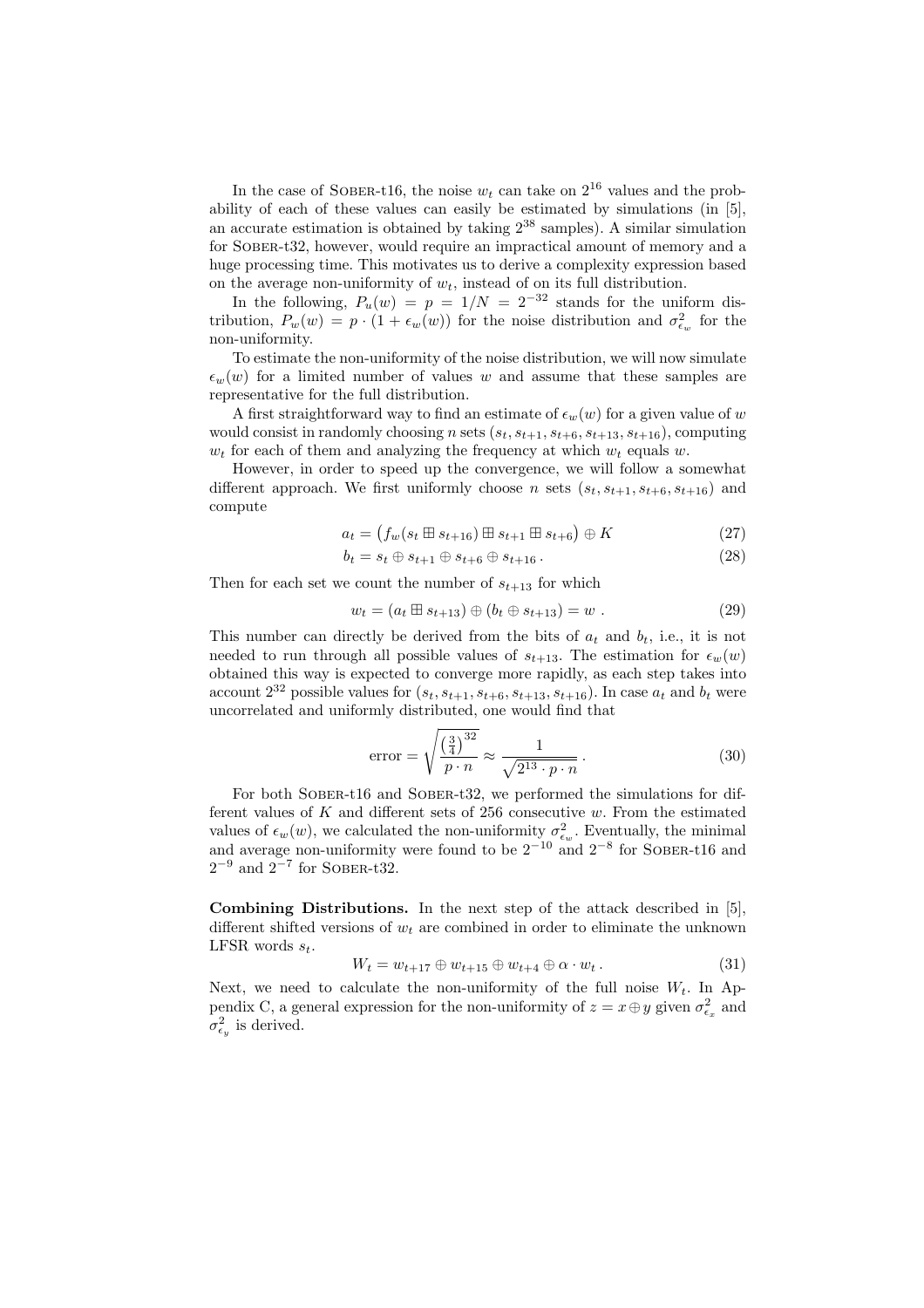In the case of SOBER-t16, the noise  $w_t$  can take on  $2^{16}$  values and the probability of each of these values can easily be estimated by simulations (in [5], an accurate estimation is obtained by taking  $2^{38}$  samples). A similar simulation for Sober-t32, however, would require an impractical amount of memory and a huge processing time. This motivates us to derive a complexity expression based on the average non-uniformity of  $w_t$ , instead of on its full distribution.

In the following,  $P_u(w) = p = 1/N = 2^{-32}$  stands for the uniform distribution,  $P_w(w) = p \cdot (1 + \epsilon_w(w))$  for the noise distribution and  $\sigma_{\epsilon_w}^2$  for the non-uniformity.

To estimate the non-uniformity of the noise distribution, we will now simulate  $\epsilon_w(w)$  for a limited number of values w and assume that these samples are representative for the full distribution.

A first straightforward way to find an estimate of  $\epsilon_w(w)$  for a given value of w would consist in randomly choosing n sets  $(s_t, s_{t+1}, s_{t+6}, s_{t+13}, s_{t+16})$ , computing  $w_t$  for each of them and analyzing the frequency at which  $w_t$  equals w.

However, in order to speed up the convergence, we will follow a somewhat different approach. We first uniformly choose n sets  $(s_t, s_{t+1}, s_{t+6}, s_{t+16})$  and compute

$$
a_{t} = (f_{w}(s_{t} \boxplus s_{t+16}) \boxplus s_{t+1} \boxplus s_{t+6}) \oplus K
$$
 (27)

$$
b_t = s_t \oplus s_{t+1} \oplus s_{t+6} \oplus s_{t+16}.
$$
\n
$$
(28)
$$

Then for each set we count the number of  $s_{t+13}$  for which

$$
w_t = (a_t \boxplus s_{t+13}) \oplus (b_t \oplus s_{t+13}) = w . \tag{29}
$$

This number can directly be derived from the bits of  $a_t$  and  $b_t$ , i.e., it is not needed to run through all possible values of  $s_{t+13}$ . The estimation for  $\epsilon_w(w)$ obtained this way is expected to converge more rapidly, as each step takes into account  $2^{32}$  possible values for  $(s_t, s_{t+1}, s_{t+6}, s_{t+13}, s_{t+16})$ . In case  $a_t$  and  $b_t$  were uncorrelated and uniformly distributed, one would find that

error = 
$$
\sqrt{\frac{\left(\frac{3}{4}\right)^{32}}{p \cdot n}} \approx \frac{1}{\sqrt{2^{13} \cdot p \cdot n}}
$$
. (30)

For both SOBER-t16 and SOBER-t32, we performed the simulations for different values of  $K$  and different sets of 256 consecutive  $w$ . From the estimated values of  $\epsilon_w(w)$ , we calculated the non-uniformity  $\sigma_{\epsilon_w}^2$ . Eventually, the minimal and average non-uniformity were found to be  $2^{-10}$  and  $2^{-8}$  for SOBER-t16 and  $2^{-9}$  and  $2^{-7}$  for SOBER-t32.

Combining Distributions. In the next step of the attack described in [5], different shifted versions of  $w_t$  are combined in order to eliminate the unknown LFSR words  $s_t$ .

$$
W_t = w_{t+17} \oplus w_{t+15} \oplus w_{t+4} \oplus \alpha \cdot w_t. \tag{31}
$$

Next, we need to calculate the non-uniformity of the full noise  $W_t$ . In Appendix C, a general expression for the non-uniformity of  $z = x \oplus y$  given  $\sigma_{\epsilon_x}^2$  and  $\sigma_{\epsilon_y}^2$  is derived.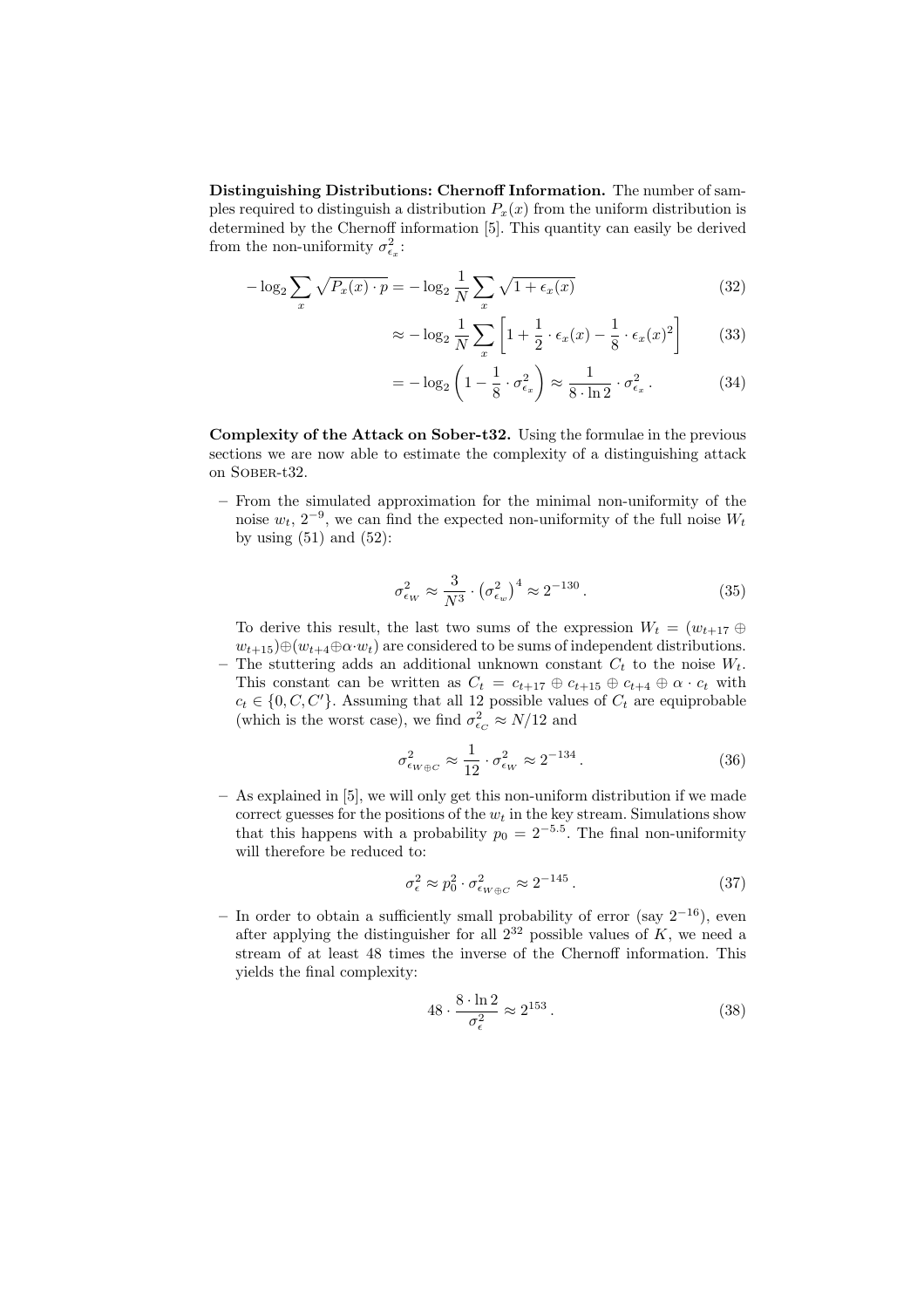Distinguishing Distributions: Chernoff Information. The number of samples required to distinguish a distribution  $P_x(x)$  from the uniform distribution is determined by the Chernoff information [5]. This quantity can easily be derived from the non-uniformity  $\sigma_{\epsilon_x}^2$ :

$$
-\log_2 \sum_x \sqrt{P_x(x) \cdot p} = -\log_2 \frac{1}{N} \sum_x \sqrt{1 + \epsilon_x(x)}
$$
(32)

$$
\approx -\log_2 \frac{1}{N} \sum_x \left[ 1 + \frac{1}{2} \cdot \epsilon_x(x) - \frac{1}{8} \cdot \epsilon_x(x)^2 \right] \tag{33}
$$

$$
= -\log_2\left(1 - \frac{1}{8} \cdot \sigma_{\epsilon_x}^2\right) \approx \frac{1}{8 \cdot \ln 2} \cdot \sigma_{\epsilon_x}^2. \tag{34}
$$

Complexity of the Attack on Sober-t32. Using the formulae in the previous sections we are now able to estimate the complexity of a distinguishing attack on Sober-t32.

– From the simulated approximation for the minimal non-uniformity of the noise  $w_t$ , 2<sup>-9</sup>, we can find the expected non-uniformity of the full noise  $W_t$ by using  $(51)$  and  $(52)$ :

$$
\sigma_{\epsilon_W}^2 \approx \frac{3}{N^3} \cdot \left(\sigma_{\epsilon_w}^2\right)^4 \approx 2^{-130} \,. \tag{35}
$$

To derive this result, the last two sums of the expression  $W_t = (w_{t+17} \oplus$  $w_{t+15} \oplus (w_{t+4} \oplus \alpha \cdot w_t)$  are considered to be sums of independent distributions. The stuttering adds an additional unknown constant  $C_t$  to the noise  $W_t$ . This constant can be written as  $C_t = c_{t+17} \oplus c_{t+15} \oplus c_{t+4} \oplus \alpha \cdot c_t$  with

 $c_t \in \{0, C, C'\}$ . Assuming that all 12 possible values of  $C_t$  are equiprobable (which is the worst case), we find  $\sigma_{\epsilon_C}^2 \approx N/12$  and

$$
\sigma_{\epsilon_{W\oplus C}}^2 \approx \frac{1}{12} \cdot \sigma_{\epsilon_W}^2 \approx 2^{-134} \,. \tag{36}
$$

– As explained in [5], we will only get this non-uniform distribution if we made correct guesses for the positions of the  $w_t$  in the key stream. Simulations show that this happens with a probability  $p_0 = 2^{-5.5}$ . The final non-uniformity will therefore be reduced to:

$$
\sigma_{\epsilon}^2 \approx p_0^2 \cdot \sigma_{\epsilon_{W\oplus C}}^2 \approx 2^{-145} \,. \tag{37}
$$

– In order to obtain a sufficiently small probability of error (say 2<sup>−</sup><sup>16</sup>), even after applying the distinguisher for all  $2^{32}$  possible values of K, we need a stream of at least 48 times the inverse of the Chernoff information. This yields the final complexity:

$$
48 \cdot \frac{8 \cdot \ln 2}{\sigma_{\epsilon}^2} \approx 2^{153} \,. \tag{38}
$$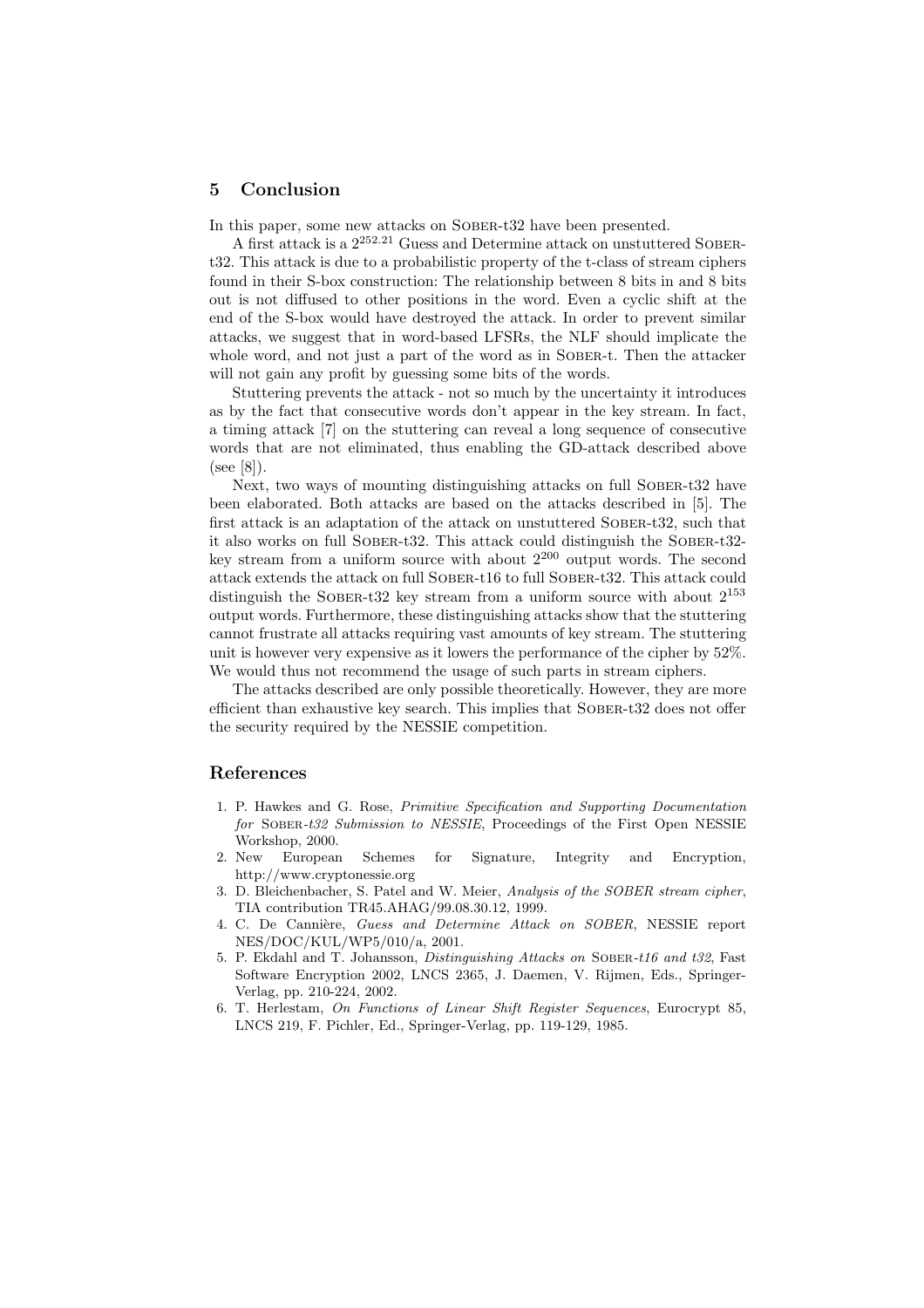#### 5 Conclusion

In this paper, some new attacks on SOBER-t32 have been presented.

A first attack is a  $2^{252.21}$  Guess and Determine attack on unstuttered SOBERt32. This attack is due to a probabilistic property of the t-class of stream ciphers found in their S-box construction: The relationship between 8 bits in and 8 bits out is not diffused to other positions in the word. Even a cyclic shift at the end of the S-box would have destroyed the attack. In order to prevent similar attacks, we suggest that in word-based LFSRs, the NLF should implicate the whole word, and not just a part of the word as in SOBER-t. Then the attacker will not gain any profit by guessing some bits of the words.

Stuttering prevents the attack - not so much by the uncertainty it introduces as by the fact that consecutive words don't appear in the key stream. In fact, a timing attack [7] on the stuttering can reveal a long sequence of consecutive words that are not eliminated, thus enabling the GD-attack described above (see [8]).

Next, two ways of mounting distinguishing attacks on full SOBER-t32 have been elaborated. Both attacks are based on the attacks described in [5]. The first attack is an adaptation of the attack on unstuttered Sober-t32, such that it also works on full Sober-t32. This attack could distinguish the Sober-t32 key stream from a uniform source with about  $2^{200}$  output words. The second attack extends the attack on full Sober-t16 to full Sober-t32. This attack could distinguish the SOBER-t32 key stream from a uniform source with about  $2^{153}$ output words. Furthermore, these distinguishing attacks show that the stuttering cannot frustrate all attacks requiring vast amounts of key stream. The stuttering unit is however very expensive as it lowers the performance of the cipher by 52%. We would thus not recommend the usage of such parts in stream ciphers.

The attacks described are only possible theoretically. However, they are more efficient than exhaustive key search. This implies that Sober-t32 does not offer the security required by the NESSIE competition.

## References

- 1. P. Hawkes and G. Rose, Primitive Specification and Supporting Documentation for Sober-t32 Submission to NESSIE, Proceedings of the First Open NESSIE Workshop, 2000.
- 2. New European Schemes for Signature, Integrity and Encryption, http://www.cryptonessie.org
- 3. D. Bleichenbacher, S. Patel and W. Meier, Analysis of the SOBER stream cipher, TIA contribution TR45.AHAG/99.08.30.12, 1999.
- 4. C. De Cannière, Guess and Determine Attack on SOBER, NESSIE report NES/DOC/KUL/WP5/010/a, 2001.
- 5. P. Ekdahl and T. Johansson, Distinguishing Attacks on Sober-t16 and t32, Fast Software Encryption 2002, LNCS 2365, J. Daemen, V. Rijmen, Eds., Springer-Verlag, pp. 210-224, 2002.
- 6. T. Herlestam, On Functions of Linear Shift Register Sequences, Eurocrypt 85, LNCS 219, F. Pichler, Ed., Springer-Verlag, pp. 119-129, 1985.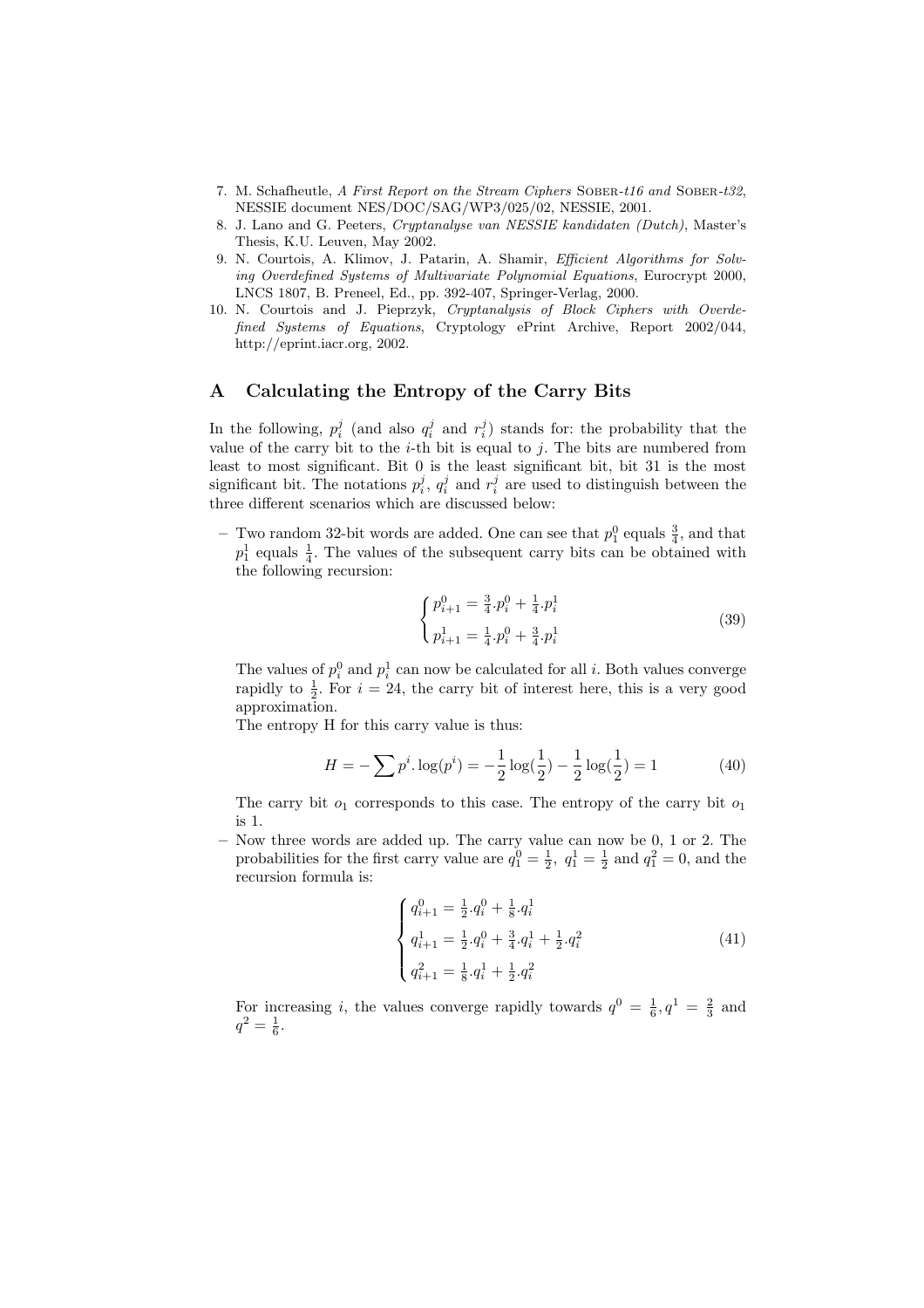- 7. M. Schafheutle, A First Report on the Stream Ciphers Sober-t16 and Sober-t32, NESSIE document NES/DOC/SAG/WP3/025/02, NESSIE, 2001.
- 8. J. Lano and G. Peeters, Cryptanalyse van NESSIE kandidaten (Dutch), Master's Thesis, K.U. Leuven, May 2002.
- 9. N. Courtois, A. Klimov, J. Patarin, A. Shamir, Efficient Algorithms for Solving Overdefined Systems of Multivariate Polynomial Equations, Eurocrypt 2000, LNCS 1807, B. Preneel, Ed., pp. 392-407, Springer-Verlag, 2000.
- 10. N. Courtois and J. Pieprzyk, Cryptanalysis of Block Ciphers with Overdefined Systems of Equations, Cryptology ePrint Archive, Report 2002/044, http://eprint.iacr.org, 2002.

### A Calculating the Entropy of the Carry Bits

In the following,  $p_i^j$  (and also  $q_i^j$  and  $r_i^j$ ) stands for: the probability that the value of the carry bit to the  $i$ -th bit is equal to j. The bits are numbered from least to most significant. Bit 0 is the least significant bit, bit 31 is the most significant bit. The notations  $p_i^j$ ,  $q_i^j$  and  $r_i^j$  are used to distinguish between the three different scenarios which are discussed below:

- Two random 32-bit words are added. One can see that  $p_1^0$  equals  $\frac{3}{4}$ , and that  $p_1^1$  equals  $\frac{1}{4}$ . The values of the subsequent carry bits can be obtained with the following recursion:

$$
\begin{cases} p_{i+1}^0 = \frac{3}{4} \cdot p_i^0 + \frac{1}{4} \cdot p_i^1 \\ p_{i+1}^1 = \frac{1}{4} \cdot p_i^0 + \frac{3}{4} \cdot p_i^1 \end{cases} \tag{39}
$$

The values of  $p_i^0$  and  $p_i^1$  can now be calculated for all *i*. Both values converge rapidly to  $\frac{1}{2}$ . For  $i = 24$ , the carry bit of interest here, this is a very good approximation.

The entropy H for this carry value is thus:

$$
H = -\sum p^i \cdot \log(p^i) = -\frac{1}{2}\log(\frac{1}{2}) - \frac{1}{2}\log(\frac{1}{2}) = 1
$$
 (40)

The carry bit  $o_1$  corresponds to this case. The entropy of the carry bit  $o_1$ is 1.

– Now three words are added up. The carry value can now be 0, 1 or 2. The probabilities for the first carry value are  $q_1^0 = \frac{1}{2}$ ,  $q_1^1 = \frac{1}{2}$  and  $q_1^2 = 0$ , and the recursion formula is:

$$
\begin{cases}\nq_{i+1}^{0} = \frac{1}{2} \cdot q_i^{0} + \frac{1}{8} \cdot q_i^{1} \\
q_{i+1}^{1} = \frac{1}{2} \cdot q_i^{0} + \frac{3}{4} \cdot q_i^{1} + \frac{1}{2} \cdot q_i^{2} \\
q_{i+1}^{2} = \frac{1}{8} \cdot q_i^{1} + \frac{1}{2} \cdot q_i^{2}\n\end{cases}
$$
\n(41)

For increasing i, the values converge rapidly towards  $q^0 = \frac{1}{6}, q^1 = \frac{2}{3}$  and  $q^2 = \frac{1}{6}.$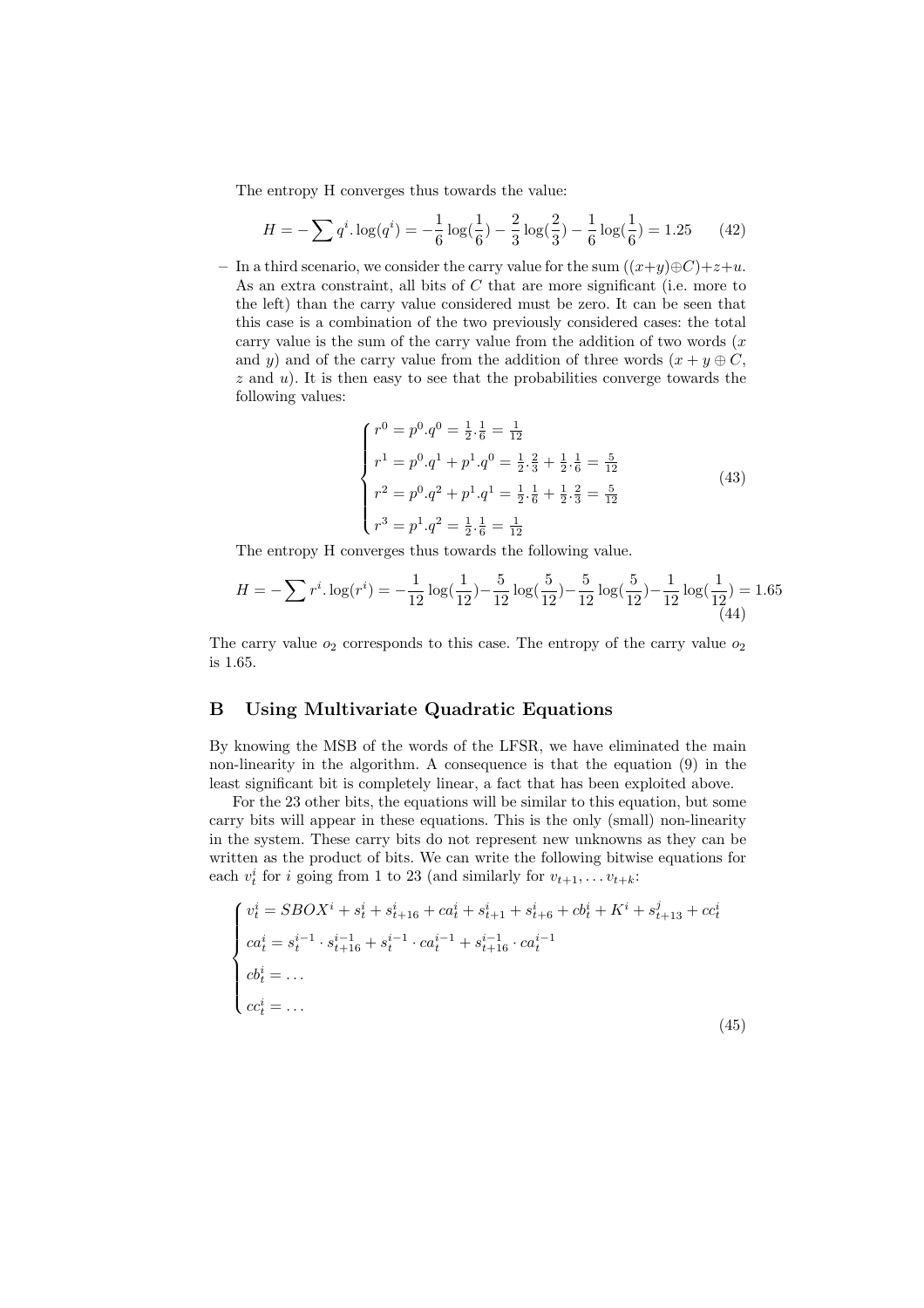The entropy H converges thus towards the value:

$$
H = -\sum q^{i} \cdot \log(q^{i}) = -\frac{1}{6}\log(\frac{1}{6}) - \frac{2}{3}\log(\frac{2}{3}) - \frac{1}{6}\log(\frac{1}{6}) = 1.25
$$
 (42)

– In a third scenario, we consider the carry value for the sum  $((x+u) \oplus C)+z+u$ . As an extra constraint, all bits of  $C$  that are more significant (i.e. more to the left) than the carry value considered must be zero. It can be seen that this case is a combination of the two previously considered cases: the total carry value is the sum of the carry value from the addition of two words  $(x)$ and y) and of the carry value from the addition of three words  $(x + y \oplus C,$  $z$  and  $u$ ). It is then easy to see that the probabilities converge towards the following values:

$$
\begin{cases}\nr^0 = p^0 \cdot q^0 = \frac{1}{2} \cdot \frac{1}{6} = \frac{1}{12} \\
r^1 = p^0 \cdot q^1 + p^1 \cdot q^0 = \frac{1}{2} \cdot \frac{2}{3} + \frac{1}{2} \cdot \frac{1}{6} = \frac{5}{12} \\
r^2 = p^0 \cdot q^2 + p^1 \cdot q^1 = \frac{1}{2} \cdot \frac{1}{6} + \frac{1}{2} \cdot \frac{2}{3} = \frac{5}{12} \\
r^3 = p^1 \cdot q^2 = \frac{1}{2} \cdot \frac{1}{6} = \frac{1}{12}\n\end{cases} \tag{43}
$$

The entropy H converges thus towards the following value.

$$
H = -\sum r^{i} \cdot \log(r^{i}) = -\frac{1}{12} \log(\frac{1}{12}) - \frac{5}{12} \log(\frac{5}{12}) - \frac{5}{12} \log(\frac{5}{12}) - \frac{1}{12} \log(\frac{1}{12}) = 1.65
$$
\n
$$
\frac{(44)}{12}
$$

The carry value  $o_2$  corresponds to this case. The entropy of the carry value  $o_2$ is 1.65.

# B Using Multivariate Quadratic Equations

By knowing the MSB of the words of the LFSR, we have eliminated the main non-linearity in the algorithm. A consequence is that the equation (9) in the least significant bit is completely linear, a fact that has been exploited above.

For the 23 other bits, the equations will be similar to this equation, but some carry bits will appear in these equations. This is the only (small) non-linearity in the system. These carry bits do not represent new unknowns as they can be written as the product of bits. We can write the following bitwise equations for each  $v_t^i$  for i going from 1 to 23 (and similarly for  $v_{t+1}, \ldots v_{t+k}$ :

$$
\begin{cases}\nv_t^i = SBOX^i + s_t^i + s_{t+16}^i + ca_t^i + s_{t+1}^i + s_{t+6}^i + cb_t^i + K^i + s_{t+13}^i + cc_t^i \\
ca_t^i = s_t^{i-1} \cdot s_{t+16}^{i-1} + s_t^{i-1} \cdot ca_t^{i-1} + s_{t+16}^{i-1} \cdot ca_t^{i-1} \\
cb_t^i = \dots \\
cc_t^i = \dots\n\end{cases}
$$
\n(45)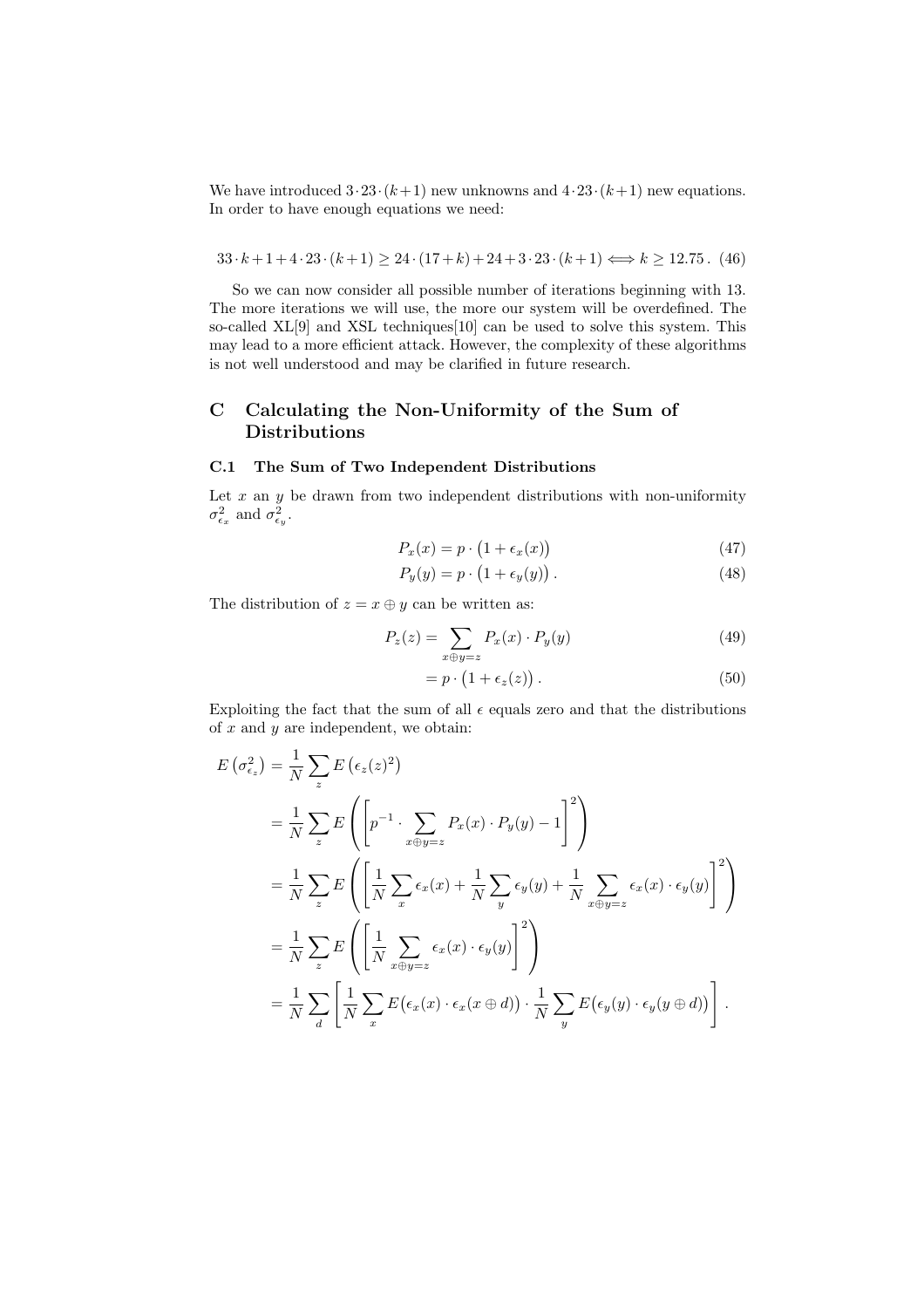We have introduced  $3 \cdot 23 \cdot (k+1)$  new unknowns and  $4 \cdot 23 \cdot (k+1)$  new equations. In order to have enough equations we need:

 $33 \cdot k + 1 + 4 \cdot 23 \cdot (k+1) \geq 24 \cdot (17+k) + 24 + 3 \cdot 23 \cdot (k+1) \Longleftrightarrow k \geq 12.75$ . (46)

So we can now consider all possible number of iterations beginning with 13. The more iterations we will use, the more our system will be overdefined. The so-called  $XL[9]$  and  $XSL$  techniques $[10]$  can be used to solve this system. This may lead to a more efficient attack. However, the complexity of these algorithms is not well understood and may be clarified in future research.

# C Calculating the Non-Uniformity of the Sum of Distributions

### C.1 The Sum of Two Independent Distributions

Let  $x$  an  $y$  be drawn from two independent distributions with non-uniformity  $\sigma_{\epsilon_x}^2$  and  $\sigma_{\epsilon_y}^2$ .

$$
P_x(x) = p \cdot \left(1 + \epsilon_x(x)\right) \tag{47}
$$

$$
P_y(y) = p \cdot \left(1 + \epsilon_y(y)\right). \tag{48}
$$

The distribution of  $z = x \oplus y$  can be written as:

$$
P_z(z) = \sum_{x \oplus y = z} P_x(x) \cdot P_y(y) \tag{49}
$$

$$
= p \cdot (1 + \epsilon_z(z)). \tag{50}
$$

Exploiting the fact that the sum of all  $\epsilon$  equals zero and that the distributions of  $x$  and  $y$  are independent, we obtain:

$$
E(\sigma_{\epsilon_z}^2) = \frac{1}{N} \sum_z E(\epsilon_z(z)^2)
$$
  
=  $\frac{1}{N} \sum_z E\left(\left[p^{-1} \cdot \sum_{x \oplus y=z} P_x(x) \cdot P_y(y) - 1\right]^2\right)$   
=  $\frac{1}{N} \sum_z E\left(\left[\frac{1}{N} \sum_x \epsilon_x(x) + \frac{1}{N} \sum_y \epsilon_y(y) + \frac{1}{N} \sum_{x \oplus y=z} \epsilon_x(x) \cdot \epsilon_y(y)\right]^2\right)$   
=  $\frac{1}{N} \sum_z E\left(\left[\frac{1}{N} \sum_{x \oplus y=z} \epsilon_x(x) \cdot \epsilon_y(y)\right]^2\right)$   
=  $\frac{1}{N} \sum_z \left[\frac{1}{N} \sum_x E(\epsilon_x(x) \cdot \epsilon_x(x \oplus d)) \cdot \frac{1}{N} \sum_y E(\epsilon_y(y) \cdot \epsilon_y(y \oplus d))\right].$